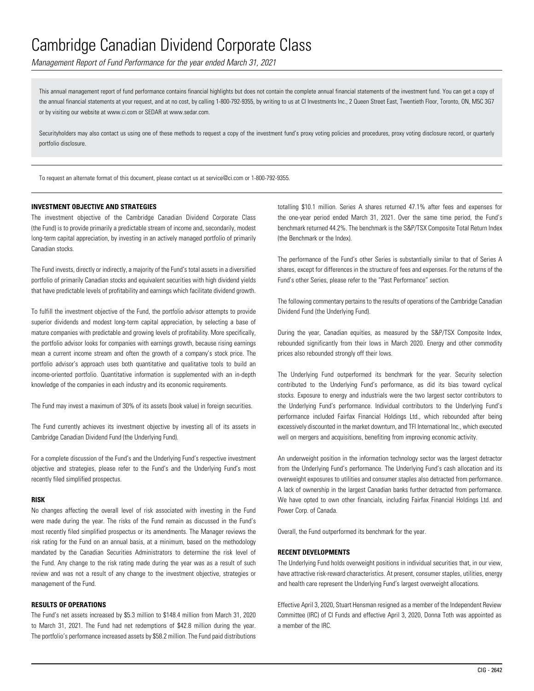*Management Report of Fund Performance for the year ended March 31, 2021*

This annual management report of fund performance contains financial highlights but does not contain the complete annual financial statements of the investment fund. You can get a copy of the annual financial statements at your request, and at no cost, by calling 1-800-792-9355, by writing to us at CI Investments Inc., 2 Queen Street East, Twentieth Floor, Toronto, ON, M5C 3G7 or by visiting our website at www.ci.com or SEDAR at www.sedar.com.

Securityholders may also contact us using one of these methods to request a copy of the investment fund's proxy voting policies and procedures, proxy voting disclosure record, or quarterly portfolio disclosure.

To request an alternate format of this document, please contact us at service@ci.com or 1-800-792-9355.

#### **INVESTMENT OBJECTIVE AND STRATEGIES**

The investment objective of the Cambridge Canadian Dividend Corporate Class (the Fund) is to provide primarily a predictable stream of income and, secondarily, modest long-term capital appreciation, by investing in an actively managed portfolio of primarily Canadian stocks.

The Fund invests, directly or indirectly, a majority of the Fund's total assets in a diversified portfolio of primarily Canadian stocks and equivalent securities with high dividend yields that have predictable levels of profitability and earnings which facilitate dividend growth.

To fulfill the investment objective of the Fund, the portfolio advisor attempts to provide superior dividends and modest long-term capital appreciation, by selecting a base of mature companies with predictable and growing levels of profitability. More specifically, the portfolio advisor looks for companies with earnings growth, because rising earnings mean a current income stream and often the growth of a company's stock price. The portfolio advisor's approach uses both quantitative and qualitative tools to build an income-oriented portfolio. Quantitative information is supplemented with an in-depth knowledge of the companies in each industry and its economic requirements.

The Fund may invest a maximum of 30% of its assets (book value) in foreign securities.

The Fund currently achieves its investment objective by investing all of its assets in Cambridge Canadian Dividend Fund (the Underlying Fund).

For a complete discussion of the Fund's and the Underlying Fund's respective investment objective and strategies, please refer to the Fund's and the Underlying Fund's most recently filed simplified prospectus.

#### **RISK**

No changes affecting the overall level of risk associated with investing in the Fund were made during the year. The risks of the Fund remain as discussed in the Fund's most recently filed simplified prospectus or its amendments. The Manager reviews the risk rating for the Fund on an annual basis, at a minimum, based on the methodology mandated by the Canadian Securities Administrators to determine the risk level of the Fund. Any change to the risk rating made during the year was as a result of such review and was not a result of any change to the investment objective, strategies or management of the Fund.

### **RESULTS OF OPERATIONS**

The Fund's net assets increased by \$5.3 million to \$148.4 million from March 31, 2020 to March 31, 2021. The Fund had net redemptions of \$42.8 million during the year. The portfolio's performance increased assets by \$58.2 million. The Fund paid distributions totalling \$10.1 million. Series A shares returned 47.1% after fees and expenses for the one-year period ended March 31, 2021. Over the same time period, the Fund's benchmark returned 44.2%. The benchmark is the S&P/TSX Composite Total Return Index (the Benchmark or the Index).

The performance of the Fund's other Series is substantially similar to that of Series A shares, except for differences in the structure of fees and expenses. For the returns of the Fund's other Series, please refer to the "Past Performance" section.

The following commentary pertains to the results of operations of the Cambridge Canadian Dividend Fund (the Underlying Fund).

During the year, Canadian equities, as measured by the S&P/TSX Composite Index, rebounded significantly from their lows in March 2020. Energy and other commodity prices also rebounded strongly off their lows.

The Underlying Fund outperformed its benchmark for the year. Security selection contributed to the Underlying Fund's performance, as did its bias toward cyclical stocks. Exposure to energy and industrials were the two largest sector contributors to the Underlying Fund's performance. Individual contributors to the Underlying Fund's performance included Fairfax Financial Holdings Ltd., which rebounded after being excessively discounted in the market downturn, and TFI International Inc., which executed well on mergers and acquisitions, benefiting from improving economic activity.

An underweight position in the information technology sector was the largest detractor from the Underlying Fund's performance. The Underlying Fund's cash allocation and its overweight exposures to utilities and consumer staples also detracted from performance. A lack of ownership in the largest Canadian banks further detracted from performance. We have opted to own other financials, including Fairfax Financial Holdings Ltd. and Power Corp. of Canada.

Overall, the Fund outperformed its benchmark for the year.

### **RECENT DEVELOPMENTS**

The Underlying Fund holds overweight positions in individual securities that, in our view, have attractive risk-reward characteristics. At present, consumer staples, utilities, energy and health care represent the Underlying Fund's largest overweight allocations.

Effective April 3, 2020, Stuart Hensman resigned as a member of the Independent Review Committee (IRC) of CI Funds and effective April 3, 2020, Donna Toth was appointed as a member of the IRC.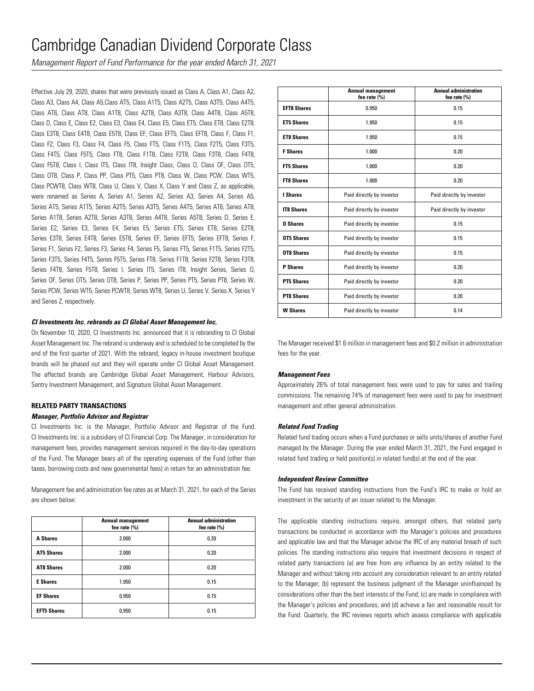*Management Report of Fund Performance for the year ended March 31, 2021*

Effective July 29, 2020, shares that were previously issued as Class A, Class A1, Class A2, Class A3, Class A4, Class A5,Class AT5, Class A1T5, Class A2T5, Class A3T5, Class A4T5, Class AT6, Class AT8, Class A1T8, Class A2T8, Class A3T8, Class A4T8, Class A5T8, Class D, Class E, Class E2, Class E3, Class E4, Class E5, Class ET5, Class ET8, Class E2T8, Class E3T8, Class E4T8, Class E5T8, Class EF, Class EFT5, Class EFT8, Class F, Class F1, Class F2, Class F3, Class F4, Class F5, Class FT5, Class F1T5, Class F2T5, Class F3T5, Class F4T5, Class F5T5, Class FT8, Class F1T8, Class F2T8, Class F3T8, Class F4T8, Class F5T8, Class I, Class IT5, Class IT8, Insight Class, Class O, Class OF, Class OT5, Class OT8, Class P, Class PP, Class PT5, Class PT8, Class W, Class PCW, Class WT5, Class PCWT8, Class WT8, Class U, Class V, Class X, Class Y and Class Z, as applicable, were renamed as Series A, Series A1, Series A2, Series A3, Series A4, Series A5, Series AT5, Series A1T5, Series A2T5, Series A3T5, Series A4T5, Series AT6, Series AT8, Series A1T8, Series A2T8, Series A3T8, Series A4T8, Series A5T8, Series D, Series E, Series E2, Series E3, Series E4, Series E5, Series ET5, Series ET8, Series E2T8, Series E3T8, Series E4T8, Series E5T8, Series EF, Series EFT5, Series EFT8, Series F, Series F1, Series F2, Series F3, Series F4, Series F5, Series FT5, Series F1T5, Series F2T5, Series F3T5, Series F4T5, Series F5T5, Series FT8, Series F1T8, Series F2T8, Series F3T8, Series F4T8, Series F5T8, Series I, Series IT5, Series IT8, Insight Series, Series O, Series OF, Series OT5, Series OT8, Series P, Series PP, Series PT5, Series PT8, Series W, Series PCW, Series WT5, Series PCWT8, Series WT8, Series U, Series V, Series X, Series Y and Series Z, respectively.

### *CI Investments Inc. rebrands as CI Global Asset Management Inc.*

On November 10, 2020, CI Investments Inc. announced that it is rebranding to CI Global Asset Management Inc. The rebrand is underway and is scheduled to be completed by the end of the first quarter of 2021. With the rebrand, legacy in-house investment boutique brands will be phased out and they will operate under CI Global Asset Management. The affected brands are Cambridge Global Asset Management, Harbour Advisors, Sentry Investment Management, and Signature Global Asset Management.

### **RELATED PARTY TRANSACTIONS** *Manager, Portfolio Advisor and Registrar*

CI Investments Inc. is the Manager, Portfolio Advisor and Registrar of the Fund. CI Investments Inc. is a subsidiary of CI Financial Corp. The Manager, in consideration for management fees, provides management services required in the day-to-day operations of the Fund. The Manager bears all of the operating expenses of the Fund (other than taxes, borrowing costs and new governmental fees) in return for an administration fee.

Management fee and administration fee rates as at March 31, 2021, for each of the Series are shown below:

|                    | <b>Annual management</b><br>fee rate $(\%)$ | <b>Annual administration</b><br>fee rate $(\% )$ |
|--------------------|---------------------------------------------|--------------------------------------------------|
| <b>A Shares</b>    | 2.000                                       | 0.20                                             |
| <b>AT5 Shares</b>  | 2.000                                       | 0.20                                             |
| <b>AT8 Shares</b>  | 2.000                                       | 0.20                                             |
| <b>E</b> Shares    | 1.950                                       | 0.15                                             |
| <b>EF Shares</b>   | 0.950                                       | 0.15                                             |
| <b>EFT5 Shares</b> | 0.950                                       | 0.15                                             |

|                    | <b>Annual management</b><br>fee rate (%) | <b>Annual administration</b><br>fee rate (%) |
|--------------------|------------------------------------------|----------------------------------------------|
| <b>EFT8 Shares</b> | 0.950                                    | 0.15                                         |
| <b>ET5 Shares</b>  | 1.950                                    | 0.15                                         |
| <b>ET8 Shares</b>  | 1.950                                    | 0.15                                         |
| <b>F</b> Shares    | 1.000                                    | 0.20                                         |
| <b>FT5 Shares</b>  | 1.000                                    | 0.20                                         |
| <b>FT8 Shares</b>  | 1.000                                    | 0.20                                         |
| <b>I</b> Shares    | Paid directly by investor                | Paid directly by investor                    |
| <b>IT8 Shares</b>  | Paid directly by investor                | Paid directly by investor                    |
| <b>0 Shares</b>    | Paid directly by investor                | 0.15                                         |
| <b>OT5 Shares</b>  | Paid directly by investor                | 0.15                                         |
| <b>OT8 Shares</b>  | Paid directly by investor                | 0.15                                         |
| <b>P</b> Shares    | Paid directly by investor                | 0.20                                         |
| <b>PT5 Shares</b>  | Paid directly by investor                | 0.20                                         |
| <b>PT8 Shares</b>  | Paid directly by investor                | 0.20                                         |
| <b>W</b> Shares    | Paid directly by investor                | 0.14                                         |

The Manager received \$1.6 million in management fees and \$0.2 million in administration fees for the year.

### *Management Fees*

Approximately 26% of total management fees were used to pay for sales and trailing commissions. The remaining 74% of management fees were used to pay for investment management and other general administration.

#### *Related Fund Trading*

Related fund trading occurs when a Fund purchases or sells units/shares of another Fund managed by the Manager. During the year ended March 31, 2021, the Fund engaged in related fund trading or held position(s) in related fund(s) at the end of the year.

### *Independent Review Committee*

The Fund has received standing instructions from the Fund's IRC to make or hold an investment in the security of an issuer related to the Manager.

The applicable standing instructions require, amongst others, that related party transactions be conducted in accordance with the Manager's policies and procedures and applicable law and that the Manager advise the IRC of any material breach of such policies. The standing instructions also require that investment decisions in respect of related party transactions (a) are free from any influence by an entity related to the Manager and without taking into account any consideration relevant to an entity related to the Manager; (b) represent the business judgment of the Manager uninfluenced by considerations other than the best interests of the Fund; (c) are made in compliance with the Manager's policies and procedures; and (d) achieve a fair and reasonable result for the Fund. Quarterly, the IRC reviews reports which assess compliance with applicable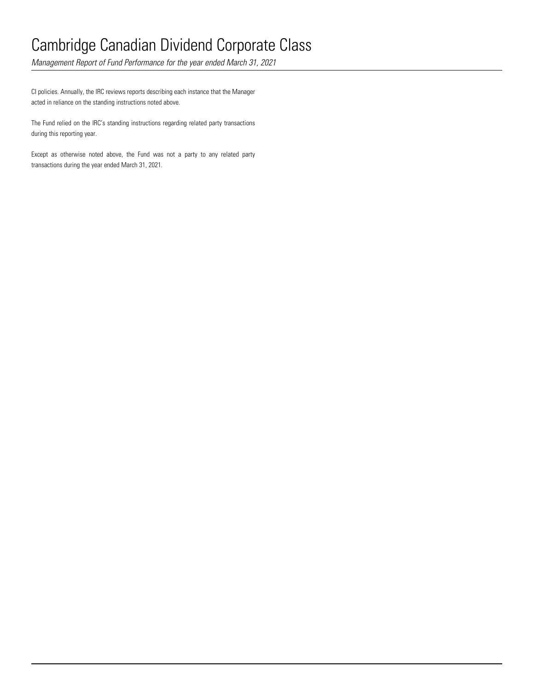*Management Report of Fund Performance for the year ended March 31, 2021*

CI policies. Annually, the IRC reviews reports describing each instance that the Manager acted in reliance on the standing instructions noted above.

The Fund relied on the IRC's standing instructions regarding related party transactions during this reporting year.

Except as otherwise noted above, the Fund was not a party to any related party transactions during the year ended March 31, 2021.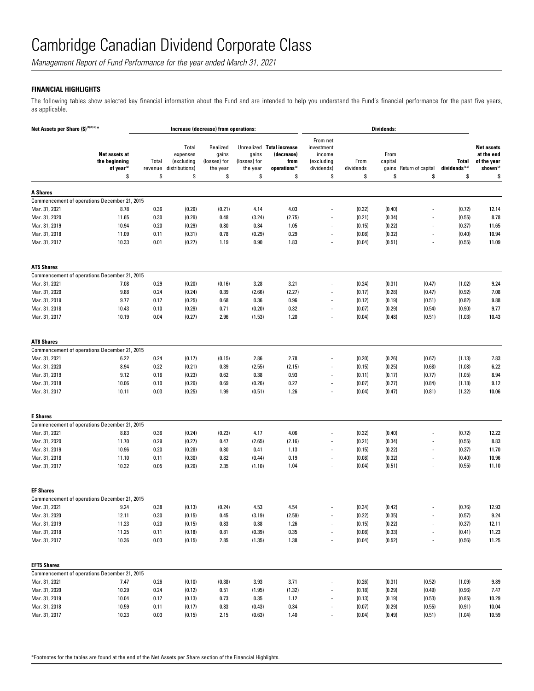*Management Report of Fund Performance for the year ended March 31, 2021*

### **FINANCIAL HIGHLIGHTS**

The following tables show selected key financial information about the Fund and are intended to help you understand the Fund's financial performance for the past five years, as applicable.

| Net Assets per Share (\$) (1) (2) (4) * |                                                                |                        |                                                         | Increase (decrease) from operations:                |                                         |                                                                                    |                                                                    |                         | Dividends:                     |                         |                                            |                                                                              |
|-----------------------------------------|----------------------------------------------------------------|------------------------|---------------------------------------------------------|-----------------------------------------------------|-----------------------------------------|------------------------------------------------------------------------------------|--------------------------------------------------------------------|-------------------------|--------------------------------|-------------------------|--------------------------------------------|------------------------------------------------------------------------------|
|                                         | Net assets at<br>the beginning<br>of year <sup>(2)</sup><br>\$ | Total<br>revenue<br>\$ | Total<br>expenses<br>(excluding<br>distributions)<br>\$ | Realized<br>gains<br>(losses) for<br>the year<br>\$ | gains<br>(losses) for<br>the year<br>\$ | Unrealized Total increase<br>(decrease)<br>from<br>operations <sup>(2)</sup><br>\$ | From net<br>investment<br>income<br>(excluding<br>dividends)<br>\$ | From<br>dividends<br>\$ | From<br>capital<br>gains<br>\$ | Return of capital<br>\$ | <b>Total</b><br>dividends $^{(2,3)}$<br>\$ | <b>Net assets</b><br>at the end<br>of the year<br>shown <sup>(2)</sup><br>\$ |
|                                         |                                                                |                        |                                                         |                                                     |                                         |                                                                                    |                                                                    |                         |                                |                         |                                            |                                                                              |
| <b>A Shares</b>                         | Commencement of operations December 21, 2015                   |                        |                                                         |                                                     |                                         |                                                                                    |                                                                    |                         |                                |                         |                                            |                                                                              |
| Mar. 31, 2021                           | 8.78                                                           | 0.36                   | (0.26)                                                  | (0.21)                                              | 4.14                                    | 4.03                                                                               | $\overline{a}$                                                     | (0.32)                  | (0.40)                         |                         | (0.72)                                     | 12.14                                                                        |
| Mar. 31, 2020                           | 11.65                                                          | 0.30                   | (0.29)                                                  | 0.48                                                | (3.24)                                  | (2.75)                                                                             |                                                                    | (0.21)                  | (0.34)                         |                         | (0.55)                                     | 8.78                                                                         |
| Mar. 31, 2019                           | 10.94                                                          | 0.20                   | (0.29)                                                  | 0.80                                                | 0.34                                    | 1.05                                                                               |                                                                    | (0.15)                  | (0.22)                         |                         | (0.37)                                     | 11.65                                                                        |
| Mar. 31, 2018                           | 11.09                                                          | 0.11                   | (0.31)                                                  | 0.78                                                | (0.29)                                  | 0.29                                                                               | $\overline{a}$                                                     | (0.08)                  | (0.32)                         |                         | (0.40)                                     | 10.94                                                                        |
| Mar. 31, 2017                           | 10.33                                                          | 0.01                   | (0.27)                                                  | 1.19                                                | 0.90                                    | 1.83                                                                               | $\overline{\phantom{a}}$                                           | (0.04)                  | (0.51)                         | L,                      | (0.55)                                     | 11.09                                                                        |
| <b>AT5 Shares</b>                       |                                                                |                        |                                                         |                                                     |                                         |                                                                                    |                                                                    |                         |                                |                         |                                            |                                                                              |
|                                         | Commencement of operations December 21, 2015                   |                        |                                                         |                                                     |                                         |                                                                                    |                                                                    |                         |                                |                         |                                            |                                                                              |
| Mar. 31, 2021                           | 7.08                                                           | 0.29                   | (0.20)                                                  | (0.16)                                              | 3.28                                    | 3.21                                                                               |                                                                    | (0.24)                  | (0.31)                         | (0.47)                  | (1.02)                                     | 9.24                                                                         |
| Mar. 31, 2020                           | 9.88                                                           | 0.24                   | (0.24)                                                  | 0.39                                                | (2.66)                                  | (2.27)                                                                             | $\overline{a}$                                                     | (0.17)                  | (0.28)                         | (0.47)                  | (0.92)                                     | 7.08                                                                         |
| Mar. 31, 2019                           | 9.77                                                           | 0.17                   | (0.25)                                                  | 0.68                                                | 0.36                                    | 0.96                                                                               | $\overline{a}$                                                     | (0.12)                  | (0.19)                         | (0.51)                  | (0.82)                                     | 9.88                                                                         |
| Mar. 31, 2018                           | 10.43                                                          | 0.10                   | (0.29)                                                  | 0.71                                                | (0.20)                                  | 0.32                                                                               | $\overline{a}$                                                     | (0.07)                  | (0.29)                         | (0.54)                  | (0.90)                                     | 9.77                                                                         |
| Mar. 31, 2017                           | 10.19                                                          | 0.04                   | (0.27)                                                  | 2.96                                                | (1.53)                                  | 1.20                                                                               | $\overline{\phantom{a}}$                                           | (0.04)                  | (0.48)                         | (0.51)                  | (1.03)                                     | 10.43                                                                        |
| <b>AT8 Shares</b>                       |                                                                |                        |                                                         |                                                     |                                         |                                                                                    |                                                                    |                         |                                |                         |                                            |                                                                              |
|                                         | Commencement of operations December 21, 2015                   |                        |                                                         |                                                     |                                         |                                                                                    |                                                                    |                         |                                |                         |                                            |                                                                              |
| Mar. 31, 2021                           | 6.22                                                           | 0.24                   | (0.17)                                                  | (0.15)                                              | 2.86                                    | 2.78                                                                               |                                                                    | (0.20)                  | (0.26)                         | (0.67)                  | (1.13)                                     | 7.83                                                                         |
| Mar. 31, 2020                           | 8.94                                                           | 0.22                   | (0.21)                                                  | 0.39                                                | (2.55)                                  | (2.15)                                                                             | $\overline{a}$                                                     | (0.15)                  | (0.25)                         | (0.68)                  | (1.08)                                     | 6.22                                                                         |
| Mar. 31, 2019                           | 9.12                                                           | 0.16                   | (0.23)                                                  | 0.62                                                | 0.38                                    | 0.93                                                                               |                                                                    | (0.11)                  | (0.17)                         | (0.77)                  | (1.05)                                     | 8.94                                                                         |
| Mar. 31, 2018                           | 10.06                                                          | 0.10                   | (0.26)                                                  | 0.69                                                | (0.26)                                  | 0.27                                                                               | $\overline{\phantom{a}}$                                           | (0.07)                  | (0.27)                         | (0.84)                  | (1.18)                                     | 9.12                                                                         |
| Mar. 31, 2017                           | 10.11                                                          | 0.03                   | (0.25)                                                  | 1.99                                                | (0.51)                                  | 1.26                                                                               | $\overline{a}$                                                     | (0.04)                  | (0.47)                         | (0.81)                  | (1.32)                                     | 10.06                                                                        |
| <b>E</b> Shares                         |                                                                |                        |                                                         |                                                     |                                         |                                                                                    |                                                                    |                         |                                |                         |                                            |                                                                              |
|                                         | Commencement of operations December 21, 2015                   |                        |                                                         |                                                     |                                         |                                                                                    |                                                                    |                         |                                |                         |                                            |                                                                              |
| Mar. 31, 2021                           | 8.83                                                           | 0.36                   | (0.24)                                                  | (0.23)                                              | 4.17                                    | 4.06                                                                               |                                                                    | (0.32)                  | (0.40)                         |                         | (0.72)                                     | 12.22                                                                        |
| Mar. 31, 2020                           | 11.70                                                          | 0.29                   | (0.27)                                                  | 0.47                                                | (2.65)                                  | (2.16)                                                                             |                                                                    | (0.21)                  | (0.34)                         |                         | (0.55)                                     | 8.83                                                                         |
| Mar. 31, 2019                           | 10.96                                                          | 0.20                   | (0.28)                                                  | 0.80                                                | 0.41                                    | 1.13                                                                               | $\overline{\phantom{a}}$                                           | (0.15)                  | (0.22)                         | $\overline{a}$          | (0.37)                                     | 11.70                                                                        |
| Mar. 31, 2018                           | 11.10                                                          | 0.11                   | (0.30)                                                  | 0.82                                                | (0.44)                                  | 0.19                                                                               | $\overline{\phantom{a}}$                                           | (0.08)                  | (0.32)                         | $\overline{a}$          | (0.40)                                     | 10.96                                                                        |
| Mar. 31, 2017                           | 10.32                                                          | 0.05                   | (0.26)                                                  | 2.35                                                | (1.10)                                  | 1.04                                                                               | $\overline{\phantom{a}}$                                           | (0.04)                  | (0.51)                         | $\overline{a}$          | (0.55)                                     | 11.10                                                                        |
| <b>EF Shares</b>                        |                                                                |                        |                                                         |                                                     |                                         |                                                                                    |                                                                    |                         |                                |                         |                                            |                                                                              |
|                                         | Commencement of operations December 21, 2015                   |                        |                                                         |                                                     |                                         |                                                                                    |                                                                    |                         |                                |                         |                                            |                                                                              |
| Mar. 31, 2021                           | 9.24                                                           | 0.38                   | (0.13)                                                  | (0.24)                                              | 4.53                                    | 4.54                                                                               |                                                                    | (0.34)                  | (0.42)                         |                         | (0.76)                                     | 12.93                                                                        |
| Mar. 31, 2020                           | 12.11                                                          | 0.30                   | (0.15)                                                  | 0.45                                                | (3.19)                                  | (2.59)                                                                             |                                                                    | (0.22)                  | (0.35)                         |                         | (0.57)                                     | 9.24                                                                         |
| Mar. 31, 2019                           | 11.23                                                          | 0.20                   | (0.15)                                                  | 0.83                                                | 0.38                                    | 1.26                                                                               | $\overline{\phantom{a}}$                                           | (0.15)                  | (0.22)                         | $\frac{1}{2}$           | (0.37)                                     | 12.11                                                                        |
| Mar. 31, 2018                           | 11.25                                                          | 0.11                   | (0.18)                                                  | 0.81                                                | (0.39)                                  | $0.35\,$                                                                           | $\overline{\phantom{a}}$                                           | (0.08)                  | (0.33)                         |                         | (0.41)                                     | 11.23                                                                        |
| Mar. 31, 2017                           | 10.36                                                          | 0.03                   | (0.15)                                                  | 2.85                                                | (1.35)                                  | 1.38                                                                               | $\blacksquare$                                                     | (0.04)                  | (0.52)                         | ÷.                      | (0.56)                                     | 11.25                                                                        |
| <b>EFT5 Shares</b>                      |                                                                |                        |                                                         |                                                     |                                         |                                                                                    |                                                                    |                         |                                |                         |                                            |                                                                              |
|                                         | Commencement of operations December 21, 2015                   |                        |                                                         |                                                     |                                         |                                                                                    |                                                                    |                         |                                |                         |                                            |                                                                              |
| Mar. 31, 2021                           | 7.47                                                           | 0.26                   | (0.10)                                                  | (0.38)                                              | 3.93                                    | 3.71                                                                               |                                                                    | (0.26)                  | (0.31)                         | (0.52)                  | (1.09)                                     | 9.89                                                                         |
| Mar. 31, 2020                           | 10.29                                                          | 0.24                   | (0.12)                                                  | 0.51                                                | (1.95)                                  | (1.32)                                                                             |                                                                    | (0.18)                  | (0.29)                         | (0.49)                  | (0.96)                                     | 7.47                                                                         |
| Mar. 31, 2019                           | 10.04                                                          | 0.17                   | (0.13)                                                  | 0.73                                                | 0.35                                    | 1.12                                                                               | $\blacksquare$                                                     | (0.13)                  | (0.19)                         | (0.53)                  | (0.85)                                     | 10.29                                                                        |
| Mar. 31, 2018                           | 10.59                                                          | 0.11                   | (0.17)                                                  | 0.83                                                | (0.43)                                  | 0.34                                                                               | $\overline{\phantom{a}}$                                           | (0.07)                  | (0.29)                         | (0.55)                  | (0.91)                                     | 10.04                                                                        |
| Mar. 31, 2017                           | 10.23                                                          | 0.03                   | (0.15)                                                  | 2.15                                                | (0.63)                                  | 1.40                                                                               | $\overline{\phantom{a}}$                                           | (0.04)                  | (0.49)                         | (0.51)                  | (1.04)                                     | 10.59                                                                        |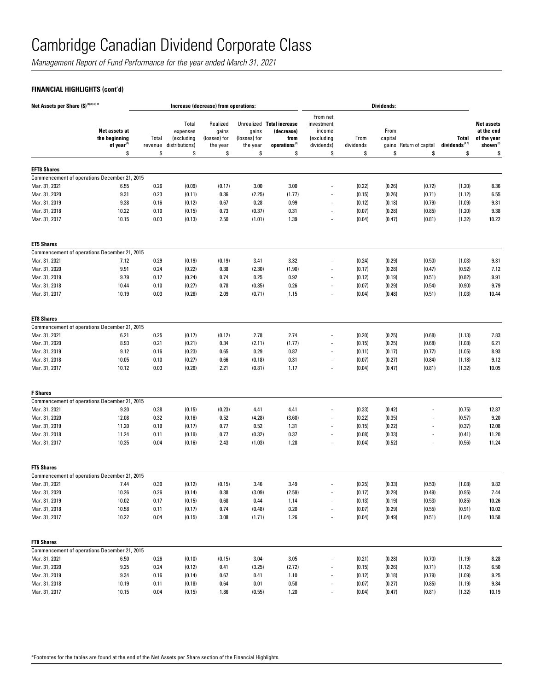*Management Report of Fund Performance for the year ended March 31, 2021*

## **FINANCIAL HIGHLIGHTS (cont'd)**

| Net Assets per Share (\$) (1) (2) (4) * |                                                          |                        |                                                         | Increase (decrease) from operations:                |                                         |                                                                                    |                                                                    |                         | <b>Dividends:</b>     |                          |                                                  |                                                                              |
|-----------------------------------------|----------------------------------------------------------|------------------------|---------------------------------------------------------|-----------------------------------------------------|-----------------------------------------|------------------------------------------------------------------------------------|--------------------------------------------------------------------|-------------------------|-----------------------|--------------------------|--------------------------------------------------|------------------------------------------------------------------------------|
|                                         | Net assets at<br>the beginning<br>of year <sup>(2)</sup> | Total<br>revenue<br>\$ | Total<br>expenses<br>(excluding<br>distributions)<br>\$ | Realized<br>gains<br>(losses) for<br>the year<br>\$ | gains<br>(losses) for<br>the year<br>\$ | Unrealized Total increase<br>(decrease)<br>from<br>operations <sup>(2)</sup><br>\$ | From net<br>investment<br>income<br>(excluding<br>dividends)<br>\$ | From<br>dividends<br>\$ | From<br>capital<br>\$ | gains Return of capital  | <b>Total</b><br>dividends <sup>(2,3)</sup><br>\$ | <b>Net assets</b><br>at the end<br>of the year<br>shown <sup>(2)</sup><br>\$ |
|                                         | \$                                                       |                        |                                                         |                                                     |                                         |                                                                                    |                                                                    |                         |                       | \$                       |                                                  |                                                                              |
| <b>EFT8 Shares</b>                      |                                                          |                        |                                                         |                                                     |                                         |                                                                                    |                                                                    |                         |                       |                          |                                                  |                                                                              |
|                                         | Commencement of operations December 21, 2015             |                        |                                                         |                                                     |                                         |                                                                                    |                                                                    |                         |                       |                          |                                                  |                                                                              |
| Mar. 31, 2021                           | 6.55                                                     | 0.26                   | (0.09)                                                  | (0.17)                                              | 3.00                                    | 3.00                                                                               |                                                                    | (0.22)                  | (0.26)                | (0.72)                   | (1.20)                                           | 8.36                                                                         |
| Mar. 31, 2020                           | 9.31                                                     | 0.23                   | (0.11)                                                  | 0.36                                                | (2.25)                                  | (1.77)                                                                             |                                                                    | (0.15)                  | (0.26)                | (0.71)                   | (1.12)                                           | 6.55                                                                         |
| Mar. 31, 2019                           | 9.38                                                     | 0.16                   | (0.12)                                                  | 0.67                                                | 0.28                                    | 0.99                                                                               | $\overline{a}$                                                     | (0.12)                  | (0.18)                | (0.79)                   | (1.09)                                           | 9.31                                                                         |
| Mar. 31, 2018                           | 10.22                                                    | 0.10                   | (0.15)                                                  | 0.73                                                | (0.37)                                  | 0.31                                                                               | $\overline{a}$                                                     | (0.07)                  | (0.28)                | (0.85)                   | (1.20)                                           | 9.38                                                                         |
| Mar. 31, 2017                           | 10.15                                                    | 0.03                   | (0.13)                                                  | 2.50                                                | (1.01)                                  | 1.39                                                                               | $\overline{\phantom{a}}$                                           | (0.04)                  | (0.47)                | (0.81)                   | (1.32)                                           | 10.22                                                                        |
| <b>ET5 Shares</b>                       |                                                          |                        |                                                         |                                                     |                                         |                                                                                    |                                                                    |                         |                       |                          |                                                  |                                                                              |
|                                         | Commencement of operations December 21, 2015             |                        |                                                         |                                                     |                                         |                                                                                    |                                                                    |                         |                       |                          |                                                  |                                                                              |
| Mar. 31, 2021                           | 7.12                                                     | 0.29                   | (0.19)                                                  | (0.19)                                              | 3.41                                    | 3.32                                                                               |                                                                    | (0.24)                  | (0.29)                | (0.50)                   | (1.03)                                           | 9.31                                                                         |
| Mar. 31, 2020                           | 9.91                                                     | 0.24                   | (0.22)                                                  | 0.38                                                | (2.30)                                  | (1.90)                                                                             | $\overline{a}$                                                     | (0.17)                  | (0.28)                | (0.47)                   | (0.92)                                           | 7.12                                                                         |
| Mar. 31, 2019                           | 9.79                                                     | 0.17                   | (0.24)                                                  | 0.74                                                | 0.25                                    | 0.92                                                                               | $\overline{\phantom{a}}$                                           | (0.12)                  | (0.19)                | (0.51)                   | (0.82)                                           | 9.91                                                                         |
| Mar. 31, 2018                           | 10.44                                                    | 0.10                   | (0.27)                                                  | 0.78                                                | (0.35)                                  | 0.26                                                                               | $\overline{a}$                                                     | (0.07)                  | (0.29)                | (0.54)                   | (0.90)                                           | 9.79                                                                         |
| Mar. 31, 2017                           | 10.19                                                    | 0.03                   | (0.26)                                                  | 2.09                                                | (0.71)                                  | 1.15                                                                               | $\overline{\phantom{a}}$                                           | (0.04)                  | (0.48)                | (0.51)                   | (1.03)                                           | 10.44                                                                        |
| <b>ET8 Shares</b>                       |                                                          |                        |                                                         |                                                     |                                         |                                                                                    |                                                                    |                         |                       |                          |                                                  |                                                                              |
|                                         | Commencement of operations December 21, 2015             |                        |                                                         |                                                     |                                         |                                                                                    |                                                                    |                         |                       |                          |                                                  |                                                                              |
| Mar. 31, 2021                           | 6.21                                                     | 0.25                   | (0.17)                                                  | (0.12)                                              | 2.78                                    | 2.74                                                                               |                                                                    | (0.20)                  | (0.25)                | (0.68)                   | (1.13)                                           | 7.83                                                                         |
| Mar. 31, 2020                           | 8.93                                                     | 0.21                   | (0.21)                                                  | 0.34                                                | (2.11)                                  | (1.77)                                                                             |                                                                    | (0.15)                  | (0.25)                | (0.68)                   | (1.08)                                           | 6.21                                                                         |
| Mar. 31, 2019                           | 9.12                                                     | 0.16                   | (0.23)                                                  | 0.65                                                | 0.29                                    | 0.87                                                                               | $\overline{a}$                                                     | (0.11)                  | (0.17)                | (0.77)                   | (1.05)                                           | 8.93                                                                         |
| Mar. 31, 2018                           | 10.05                                                    | 0.10                   | (0.27)                                                  | 0.66                                                | (0.18)                                  | 0.31                                                                               | $\overline{a}$                                                     | (0.07)                  | (0.27)                | (0.84)                   | (1.18)                                           | 9.12                                                                         |
| Mar. 31, 2017                           | 10.12                                                    | 0.03                   | (0.26)                                                  | 2.21                                                | (0.81)                                  | 1.17                                                                               | $\overline{\phantom{a}}$                                           | (0.04)                  | (0.47)                | (0.81)                   | (1.32)                                           | 10.05                                                                        |
| <b>F</b> Shares                         |                                                          |                        |                                                         |                                                     |                                         |                                                                                    |                                                                    |                         |                       |                          |                                                  |                                                                              |
|                                         | Commencement of operations December 21, 2015             |                        |                                                         |                                                     |                                         |                                                                                    |                                                                    |                         |                       |                          |                                                  |                                                                              |
| Mar. 31, 2021                           | 9.20                                                     | 0.38                   | (0.15)                                                  | (0.23)                                              | 4.41                                    | 4.41                                                                               |                                                                    | (0.33)                  | (0.42)                |                          | (0.75)                                           | 12.87                                                                        |
| Mar. 31, 2020                           | 12.08                                                    | 0.32                   | (0.16)                                                  | 0.52                                                | (4.28)                                  | (3.60)                                                                             |                                                                    | (0.22)                  | (0.35)                |                          | (0.57)                                           | 9.20                                                                         |
| Mar. 31, 2019                           | 11.20                                                    | 0.19                   | (0.17)                                                  | 0.77                                                | 0.52                                    | 1.31                                                                               | $\overline{a}$                                                     | (0.15)                  | (0.22)                |                          | (0.37)                                           | 12.08                                                                        |
| Mar. 31, 2018                           | 11.24                                                    | 0.11                   | (0.19)                                                  | 0.77                                                | (0.32)                                  | 0.37                                                                               |                                                                    | (0.08)                  | (0.33)                |                          | (0.41)                                           | 11.20                                                                        |
| Mar. 31, 2017                           | 10.35                                                    | 0.04                   | (0.16)                                                  | 2.43                                                | (1.03)                                  | 1.28                                                                               | $\overline{a}$                                                     | (0.04)                  | (0.52)                | $\overline{\phantom{a}}$ | (0.56)                                           | 11.24                                                                        |
| <b>FT5 Shares</b>                       |                                                          |                        |                                                         |                                                     |                                         |                                                                                    |                                                                    |                         |                       |                          |                                                  |                                                                              |
|                                         | Commencement of operations December 21, 2015             |                        |                                                         |                                                     |                                         |                                                                                    |                                                                    |                         |                       |                          |                                                  |                                                                              |
| Mar. 31, 2021                           | 7.44                                                     | 0.30                   | (0.12)                                                  | (0.15)                                              | 3.46                                    | 3.49                                                                               |                                                                    | (0.25)                  | (0.33)                | (0.50)                   | (1.08)                                           | 9.82                                                                         |
| Mar. 31, 2020                           | 10.26                                                    | 0.26                   | (0.14)                                                  | 0.38                                                | (3.09)                                  | (2.59)                                                                             |                                                                    | (0.17)                  | (0.29)                | (0.49)                   | (0.95)                                           | 7.44                                                                         |
| Mar. 31, 2019                           | 10.02                                                    | 0.17                   | (0.15)                                                  | 0.68                                                | 0.44                                    | 1.14                                                                               | $\overline{a}$                                                     | (0.13)                  | (0.19)                | (0.53)                   | (0.85)                                           | 10.26                                                                        |
| Mar. 31, 2018                           | 10.58                                                    | 0.11                   | (0.17)                                                  | 0.74                                                | (0.48)                                  | $0.20\,$                                                                           | $\overline{\phantom{a}}$                                           | (0.07)                  | (0.29)                | (0.55)                   | (0.91)                                           | 10.02                                                                        |
| Mar. 31, 2017                           | 10.22                                                    | 0.04                   | (0.15)                                                  | 3.08                                                | (1.71)                                  | 1.26                                                                               | $\overline{a}$                                                     | (0.04)                  | (0.49)                | (0.51)                   | (1.04)                                           | 10.58                                                                        |
| <b>FT8 Shares</b>                       |                                                          |                        |                                                         |                                                     |                                         |                                                                                    |                                                                    |                         |                       |                          |                                                  |                                                                              |
|                                         | Commencement of operations December 21, 2015             |                        |                                                         |                                                     |                                         |                                                                                    |                                                                    |                         |                       |                          |                                                  |                                                                              |
| Mar. 31, 2021                           | 6.50                                                     | 0.26                   | (0.10)                                                  | (0.15)                                              | 3.04                                    | 3.05                                                                               |                                                                    | (0.21)                  | (0.28)                | (0.70)                   | (1.19)                                           | 8.28                                                                         |
| Mar. 31, 2020                           | 9.25                                                     | 0.24                   | (0.12)                                                  | 0.41                                                | (3.25)                                  | (2.72)                                                                             | $\overline{\phantom{m}}$                                           | (0.15)                  | (0.26)                | (0.71)                   | (1.12)                                           | 6.50                                                                         |
| Mar. 31, 2019                           | 9.34                                                     | 0.16                   | (0.14)                                                  | 0.67                                                | 0.41                                    | 1.10                                                                               | $\overline{a}$                                                     | (0.12)                  | (0.18)                | (0.79)                   | (1.09)                                           | 9.25                                                                         |
| Mar. 31, 2018                           | 10.19                                                    | 0.11                   | (0.18)                                                  | 0.64                                                | 0.01                                    | 0.58                                                                               | $\overline{\phantom{a}}$                                           | (0.07)                  | (0.27)                | (0.85)                   | (1.19)                                           | 9.34                                                                         |
| Mar. 31, 2017                           | 10.15                                                    | 0.04                   | (0.15)                                                  | 1.86                                                | (0.55)                                  | 1.20                                                                               |                                                                    | (0.04)                  | (0.47)                | (0.81)                   | (1.32)                                           | 10.19                                                                        |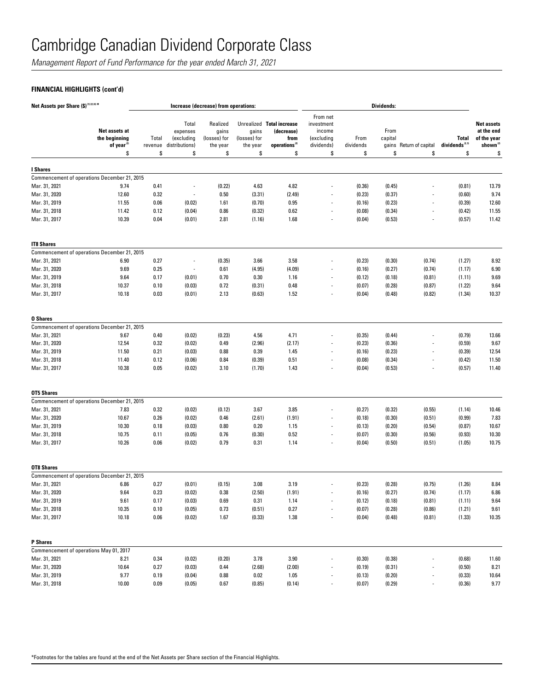*Management Report of Fund Performance for the year ended March 31, 2021*

## **FINANCIAL HIGHLIGHTS (cont'd)**

| Net Assets per Share (\$) (1) (2) (4) * |                                                          |                  |                                                   | Increase (decrease) from operations:          |                                   |                                                                              |                                                              |                   | <b>Dividends:</b> |                          |                                            |                                                                        |
|-----------------------------------------|----------------------------------------------------------|------------------|---------------------------------------------------|-----------------------------------------------|-----------------------------------|------------------------------------------------------------------------------|--------------------------------------------------------------|-------------------|-------------------|--------------------------|--------------------------------------------|------------------------------------------------------------------------|
|                                         | Net assets at<br>the beginning<br>of year <sup>(2)</sup> | Total<br>revenue | Total<br>expenses<br>(excluding<br>distributions) | Realized<br>gains<br>(losses) for<br>the year | gains<br>(losses) for<br>the year | Unrealized Total increase<br>(decrease)<br>from<br>operations <sup>(2)</sup> | From net<br>investment<br>income<br>(excluding<br>dividends) | From<br>dividends | From<br>capital   | gains Return of capital  | <b>Total</b><br>dividends <sup>(2,3)</sup> | <b>Net assets</b><br>at the end<br>of the year<br>shown <sup>(2)</sup> |
|                                         | \$                                                       | \$               | \$                                                | \$                                            | \$                                | \$                                                                           | \$                                                           | \$                | \$                | \$                       | \$                                         | \$                                                                     |
| I Shares                                |                                                          |                  |                                                   |                                               |                                   |                                                                              |                                                              |                   |                   |                          |                                            |                                                                        |
|                                         | Commencement of operations December 21, 2015             |                  |                                                   |                                               |                                   |                                                                              |                                                              |                   |                   |                          |                                            |                                                                        |
| Mar. 31, 2021                           | 9.74                                                     | 0.41             | $\overline{a}$                                    | (0.22)                                        | 4.63                              | 4.82                                                                         |                                                              | (0.36)            | (0.45)            |                          | (0.81)                                     | 13.79                                                                  |
| Mar. 31, 2020                           | 12.60                                                    | 0.32             | $\overline{\phantom{a}}$                          | 0.50                                          | (3.31)                            | (2.49)                                                                       |                                                              | (0.23)            | (0.37)            |                          | (0.60)                                     | 9.74                                                                   |
| Mar. 31, 2019                           | 11.55                                                    | 0.06             | (0.02)                                            | 1.61                                          | (0.70)                            | 0.95                                                                         | $\overline{\phantom{a}}$                                     | (0.16)            | (0.23)            |                          | (0.39)                                     | 12.60                                                                  |
| Mar. 31, 2018                           | 11.42                                                    | 0.12             | (0.04)                                            | 0.86                                          | (0.32)                            | 0.62                                                                         | $\overline{\phantom{a}}$                                     | (0.08)            | (0.34)            |                          | (0.42)                                     | 11.55                                                                  |
| Mar. 31, 2017                           | 10.39                                                    | 0.04             | (0.01)                                            | 2.81                                          | (1.16)                            | 1.68                                                                         |                                                              | (0.04)            | (0.53)            |                          | (0.57)                                     | 11.42                                                                  |
| <b>IT8 Shares</b>                       |                                                          |                  |                                                   |                                               |                                   |                                                                              |                                                              |                   |                   |                          |                                            |                                                                        |
|                                         | Commencement of operations December 21, 2015             |                  |                                                   |                                               |                                   |                                                                              |                                                              |                   |                   |                          |                                            |                                                                        |
| Mar. 31, 2021                           | 6.90                                                     | 0.27             | $\overline{a}$                                    | (0.35)                                        | 3.66                              | 3.58                                                                         |                                                              | (0.23)            | (0.30)            | (0.74)                   | (1.27)                                     | 8.92                                                                   |
| Mar. 31, 2020                           | 9.69                                                     | 0.25             | $\overline{a}$                                    | 0.61                                          | (4.95)                            | (4.09)                                                                       |                                                              | (0.16)            | (0.27)            | (0.74)                   | (1.17)                                     | 6.90                                                                   |
| Mar. 31, 2019                           | 9.64                                                     | 0.17             | (0.01)                                            | 0.70                                          | 0.30                              | 1.16                                                                         |                                                              | (0.12)            | (0.18)            | (0.81)                   | (1.11)                                     | 9.69                                                                   |
| Mar. 31, 2018                           | 10.37                                                    | 0.10             | (0.03)                                            | 0.72                                          | (0.31)                            | 0.48                                                                         |                                                              | (0.07)            | (0.28)            | (0.87)                   | (1.22)                                     | 9.64                                                                   |
| Mar. 31, 2017                           | 10.18                                                    | 0.03             | (0.01)                                            | 2.13                                          | (0.63)                            | 1.52                                                                         |                                                              | (0.04)            | (0.48)            | (0.82)                   | (1.34)                                     | 10.37                                                                  |
| <b>0 Shares</b>                         |                                                          |                  |                                                   |                                               |                                   |                                                                              |                                                              |                   |                   |                          |                                            |                                                                        |
|                                         | Commencement of operations December 21, 2015             |                  |                                                   |                                               |                                   |                                                                              |                                                              |                   |                   |                          |                                            |                                                                        |
| Mar. 31, 2021                           | 9.67                                                     | 0.40             | (0.02)                                            | (0.23)                                        | 4.56                              | 4.71                                                                         |                                                              | (0.35)            | (0.44)            |                          | (0.79)                                     | 13.66                                                                  |
| Mar. 31, 2020                           | 12.54                                                    | 0.32             | (0.02)                                            | 0.49                                          | (2.96)                            | (2.17)                                                                       |                                                              | (0.23)            | (0.36)            |                          | (0.59)                                     | 9.67                                                                   |
| Mar. 31, 2019                           | 11.50                                                    | 0.21             | (0.03)                                            | 0.88                                          | 0.39                              | 1.45                                                                         | $\overline{\phantom{a}}$                                     | (0.16)            | (0.23)            |                          | (0.39)                                     | 12.54                                                                  |
| Mar. 31, 2018                           | 11.40                                                    | 0.12             | (0.06)                                            | 0.84                                          | (0.39)                            | 0.51                                                                         | $\overline{\phantom{a}}$                                     | (0.08)            | (0.34)            |                          | (0.42)                                     | 11.50                                                                  |
| Mar. 31, 2017                           | 10.38                                                    | 0.05             | (0.02)                                            | 3.10                                          | (1.70)                            | 1.43                                                                         | $\overline{\phantom{a}}$                                     | (0.04)            | (0.53)            | $\overline{\phantom{a}}$ | (0.57)                                     | 11.40                                                                  |
| OT5 Shares                              |                                                          |                  |                                                   |                                               |                                   |                                                                              |                                                              |                   |                   |                          |                                            |                                                                        |
|                                         | Commencement of operations December 21, 2015             |                  |                                                   |                                               |                                   |                                                                              |                                                              |                   |                   |                          |                                            |                                                                        |
| Mar. 31, 2021                           | 7.83                                                     | 0.32             | (0.02)                                            | (0.12)                                        | 3.67                              | 3.85                                                                         |                                                              | (0.27)            | (0.32)            | (0.55)                   | (1.14)                                     | 10.46                                                                  |
| Mar. 31, 2020                           | 10.67                                                    | 0.26             | (0.02)                                            | 0.46                                          | (2.61)                            | (1.91)                                                                       |                                                              | (0.18)            | (0.30)            | (0.51)                   | (0.99)                                     | 7.83                                                                   |
| Mar. 31, 2019                           | 10.30                                                    | 0.18             | (0.03)                                            | 0.80                                          | 0.20                              | 1.15                                                                         | $\overline{\phantom{a}}$                                     | (0.13)            | (0.20)            | (0.54)                   | (0.87)                                     | 10.67                                                                  |
| Mar. 31, 2018                           | 10.75                                                    | 0.11             | (0.05)                                            | 0.76                                          | (0.30)                            | 0.52                                                                         |                                                              | (0.07)            | (0.30)            | (0.56)                   | (0.93)                                     | 10.30                                                                  |
| Mar. 31, 2017                           | 10.26                                                    | 0.06             | (0.02)                                            | 0.79                                          | 0.31                              | 1.14                                                                         | $\overline{\phantom{a}}$                                     | (0.04)            | (0.50)            | (0.51)                   | (1.05)                                     | 10.75                                                                  |
| <b>OT8 Shares</b>                       |                                                          |                  |                                                   |                                               |                                   |                                                                              |                                                              |                   |                   |                          |                                            |                                                                        |
|                                         | Commencement of operations December 21, 2015             |                  |                                                   |                                               |                                   |                                                                              |                                                              |                   |                   |                          |                                            |                                                                        |
| Mar. 31, 2021                           | 6.86                                                     | 0.27             | (0.01)                                            | (0.15)                                        | 3.08                              | 3.19                                                                         |                                                              | (0.23)            | (0.28)            | (0.75)                   | (1.26)                                     | 8.84                                                                   |
| Mar. 31, 2020                           | 9.64                                                     | 0.23             | (0.02)                                            | 0.38                                          | (2.50)                            | (1.91)                                                                       |                                                              | (0.16)            | (0.27)            | (0.74)                   | (1.17)                                     | 6.86                                                                   |
| Mar. 31, 2019                           | 9.61                                                     | 0.17             | (0.03)                                            | 0.69                                          | 0.31                              | 1.14                                                                         |                                                              | (0.12)            | (0.18)            | (0.81)                   | (1.11)                                     | 9.64                                                                   |
| Mar. 31, 2018                           | 10.35                                                    | 0.10             | (0.05)                                            | 0.73                                          | (0.51)                            | $0.27\,$                                                                     | $\overline{\phantom{a}}$                                     | (0.07)            | (0.28)            | (0.86)                   | (1.21)                                     | 9.61                                                                   |
| Mar. 31, 2017                           | 10.18                                                    | 0.06             | (0.02)                                            | 1.67                                          | (0.33)                            | 1.38                                                                         | $\overline{\phantom{a}}$                                     | (0.04)            | (0.48)            | (0.81)                   | (1.33)                                     | 10.35                                                                  |
| <b>P</b> Shares                         |                                                          |                  |                                                   |                                               |                                   |                                                                              |                                                              |                   |                   |                          |                                            |                                                                        |
|                                         | Commencement of operations May 01, 2017                  |                  |                                                   |                                               |                                   |                                                                              |                                                              |                   |                   |                          |                                            |                                                                        |
| Mar. 31, 2021                           | 8.21                                                     | 0.34             | (0.02)                                            | (0.20)                                        | 3.78                              | 3.90                                                                         |                                                              | (0.30)            | (0.38)            |                          | (0.68)                                     | 11.60                                                                  |
| Mar. 31, 2020                           | 10.64                                                    | 0.27             | (0.03)                                            | 0.44                                          | (2.68)                            | (2.00)                                                                       | $\overline{\phantom{a}}$                                     | (0.19)            | (0.31)            |                          | (0.50)                                     | 8.21                                                                   |
| Mar. 31, 2019                           | 9.77                                                     | 0.19             | (0.04)                                            | 0.88                                          | 0.02                              | 1.05                                                                         |                                                              | (0.13)            | (0.20)            |                          | (0.33)                                     | 10.64                                                                  |
| Mar. 31, 2018                           | 10.00                                                    | 0.09             | (0.05)                                            | 0.67                                          | (0.85)                            | (0.14)                                                                       | $\overline{\phantom{a}}$                                     | (0.07)            | (0.29)            |                          | (0.36)                                     | 9.77                                                                   |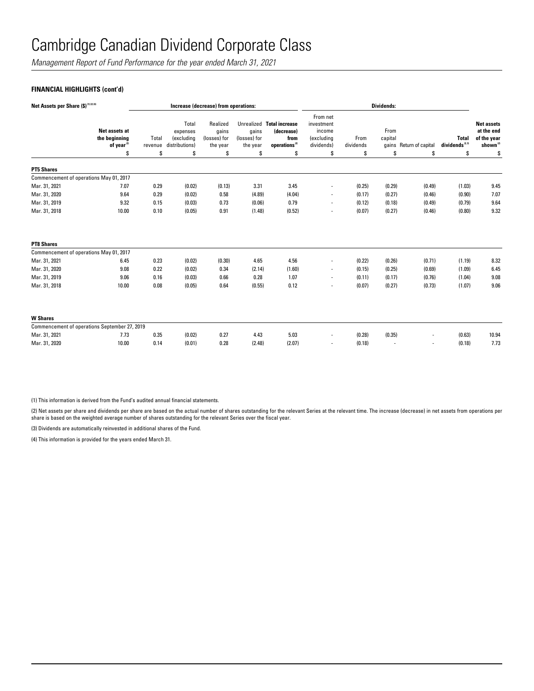*Management Report of Fund Performance for the year ended March 31, 2021*

### **FINANCIAL HIGHLIGHTS (cont'd)**

| Net Assets per Share (\$) (1) (2) (4)         |                                                                |                        |                                                         | Increase (decrease) from operations:                |                                         |                                                                                    |                                                                    |                         | <b>Dividends:</b>     |                               |                                                 |                                                                              |
|-----------------------------------------------|----------------------------------------------------------------|------------------------|---------------------------------------------------------|-----------------------------------------------------|-----------------------------------------|------------------------------------------------------------------------------------|--------------------------------------------------------------------|-------------------------|-----------------------|-------------------------------|-------------------------------------------------|------------------------------------------------------------------------------|
|                                               | Net assets at<br>the beginning<br>of year <sup>(2)</sup><br>\$ | Total<br>revenue<br>\$ | Total<br>expenses<br>(excluding<br>distributions)<br>\$ | Realized<br>qains<br>(losses) for<br>the year<br>\$ | qains<br>(losses) for<br>the year<br>\$ | Unrealized Total increase<br>(decrease)<br>from<br>operations <sup>(2)</sup><br>\$ | From net<br>investment<br>income<br>(excluding<br>dividends)<br>\$ | From<br>dividends<br>\$ | From<br>capital<br>\$ | gains Return of capital<br>\$ | <b>Total</b><br>dividends <sup>2,39</sup><br>\$ | <b>Net assets</b><br>at the end<br>of the year<br>shown <sup>(2)</sup><br>\$ |
| <b>PT5 Shares</b>                             |                                                                |                        |                                                         |                                                     |                                         |                                                                                    |                                                                    |                         |                       |                               |                                                 |                                                                              |
| Commencement of operations May 01, 2017       |                                                                |                        |                                                         |                                                     |                                         |                                                                                    |                                                                    |                         |                       |                               |                                                 |                                                                              |
| Mar. 31, 2021                                 | 7.07                                                           | 0.29                   | (0.02)                                                  | (0.13)                                              | 3.31                                    | 3.45                                                                               |                                                                    | (0.25)                  | (0.29)                | (0.49)                        | (1.03)                                          | 9.45                                                                         |
| Mar. 31, 2020                                 | 9.64                                                           | 0.29                   | (0.02)                                                  | 0.58                                                | (4.89)                                  | (4.04)                                                                             | $\blacksquare$                                                     | (0.17)                  | (0.27)                | (0.46)                        | (0.90)                                          | 7.07                                                                         |
| Mar. 31, 2019                                 | 9.32                                                           | 0.15                   | (0.03)                                                  | 0.73                                                | (0.06)                                  | 0.79                                                                               |                                                                    | (0.12)                  | (0.18)                | (0.49)                        | (0.79)                                          | 9.64                                                                         |
| Mar. 31, 2018                                 | 10.00                                                          | 0.10                   | (0.05)                                                  | 0.91                                                | (1.48)                                  | (0.52)                                                                             | $\blacksquare$                                                     | (0.07)                  | (0.27)                | (0.46)                        | (0.80)                                          | 9.32                                                                         |
| <b>PT8 Shares</b>                             |                                                                |                        |                                                         |                                                     |                                         |                                                                                    |                                                                    |                         |                       |                               |                                                 |                                                                              |
| Commencement of operations May 01, 2017       |                                                                |                        |                                                         |                                                     |                                         |                                                                                    |                                                                    |                         |                       |                               |                                                 |                                                                              |
| Mar. 31, 2021                                 | 6.45                                                           | 0.23                   | (0.02)                                                  | (0.30)                                              | 4.65                                    | 4.56                                                                               | $\overline{\phantom{a}}$                                           | (0.22)                  | (0.26)                | (0.71)                        | (1.19)                                          | 8.32                                                                         |
| Mar. 31, 2020                                 | 9.08                                                           | 0.22                   | (0.02)                                                  | 0.34                                                | (2.14)                                  | (1.60)                                                                             | $\blacksquare$                                                     | (0.15)                  | (0.25)                | (0.69)                        | (1.09)                                          | 6.45                                                                         |
| Mar. 31, 2019                                 | 9.06                                                           | 0.16                   | (0.03)                                                  | 0.66                                                | 0.28                                    | 1.07                                                                               | $\blacksquare$                                                     | (0.11)                  | (0.17)                | (0.76)                        | (1.04)                                          | 9.08                                                                         |
| Mar. 31, 2018                                 | 10.00                                                          | 0.08                   | (0.05)                                                  | 0.64                                                | (0.55)                                  | 0.12                                                                               |                                                                    | (0.07)                  | (0.27)                | (0.73)                        | (1.07)                                          | 9.06                                                                         |
| <b>W</b> Shares                               |                                                                |                        |                                                         |                                                     |                                         |                                                                                    |                                                                    |                         |                       |                               |                                                 |                                                                              |
| Commencement of operations September 27, 2019 |                                                                |                        |                                                         |                                                     |                                         |                                                                                    |                                                                    |                         |                       |                               |                                                 |                                                                              |
| Mar. 31, 2021                                 | 7.73                                                           | 0.35                   | (0.02)                                                  | 0.27                                                | 4.43                                    | 5.03                                                                               | $\blacksquare$                                                     | (0.28)                  | (0.35)                |                               | (0.63)                                          | 10.94                                                                        |
| Mar. 31, 2020                                 | 10.00                                                          | 0.14                   | (0.01)                                                  | 0.28                                                | (2.48)                                  | (2.07)                                                                             |                                                                    | (0.18)                  |                       |                               | (0.18)                                          | 7.73                                                                         |

(1) This information is derived from the Fund's audited annual financial statements.

(2) Net assets per share and dividends per share are based on the actual number of shares outstanding for the relevant Series at the relevant time. The increase (decrease) in net assets from operations per share is based on the weighted average number of shares outstanding for the relevant Series over the fiscal year.

(3) Dividends are automatically reinvested in additional shares of the Fund.

(4) This information is provided for the years ended March 31.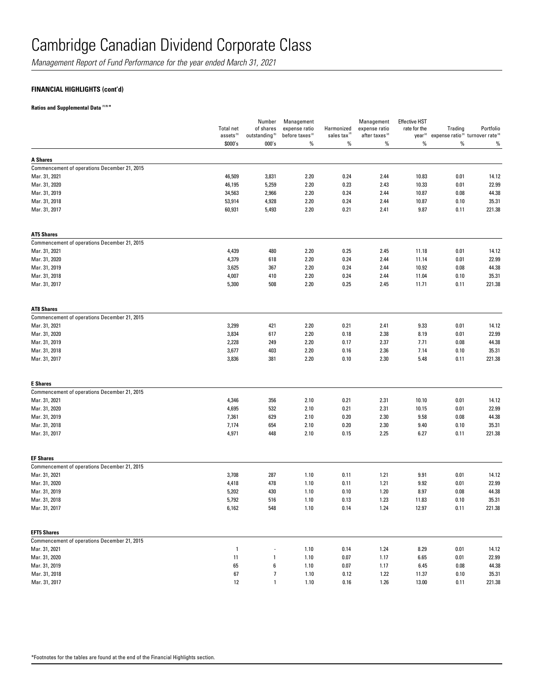*Management Report of Fund Performance for the year ended March 31, 2021*

### **FINANCIAL HIGHLIGHTS (cont'd)**

**Ratios and Supplemental Data (1) (5) \***

|                                              | <b>Total net</b><br>assets <sup>(5)</sup> | Number<br>of shares<br>outstanding <sup>(5)</sup> | Management<br>expense ratio<br>before taxes <sup>(2)</sup> | Harmonized<br>sales tax <sup>(2)</sup> | Management<br>expense ratio<br>after taxes <sup>(2)</sup> | <b>Effective HST</b><br>rate for the<br>year <sup>(2)</sup> | Trading<br>expense ratio <sup>(3)</sup> turnover rate <sup>(4)</sup> | Portfolio |
|----------------------------------------------|-------------------------------------------|---------------------------------------------------|------------------------------------------------------------|----------------------------------------|-----------------------------------------------------------|-------------------------------------------------------------|----------------------------------------------------------------------|-----------|
|                                              | \$000's                                   | 000's                                             | $\%$                                                       | $\%$                                   | $\%$                                                      | $\%$                                                        | $\%$                                                                 | $\%$      |
| <b>A Shares</b>                              |                                           |                                                   |                                                            |                                        |                                                           |                                                             |                                                                      |           |
| Commencement of operations December 21, 2015 |                                           |                                                   |                                                            |                                        |                                                           |                                                             |                                                                      |           |
| Mar. 31, 2021                                | 46,509                                    | 3,831                                             | 2.20                                                       | 0.24                                   | 2.44                                                      | 10.83                                                       | 0.01                                                                 | 14.12     |
| Mar. 31, 2020                                | 46,195                                    | 5,259                                             | 2.20                                                       | 0.23                                   | 2.43                                                      | 10.33                                                       | 0.01                                                                 | 22.99     |
| Mar. 31, 2019                                | 34,563                                    | 2,966                                             | 2.20                                                       | 0.24                                   | 2.44                                                      | 10.87                                                       | 0.08                                                                 | 44.38     |
| Mar. 31, 2018                                | 53,914                                    | 4,928                                             | 2.20                                                       | 0.24                                   | 2.44                                                      | 10.87                                                       | 0.10                                                                 | 35.31     |
| Mar. 31, 2017                                | 60,931                                    | 5,493                                             | 2.20                                                       | 0.21                                   | 2.41                                                      | 9.87                                                        | 0.11                                                                 | 221.38    |
| <b>AT5 Shares</b>                            |                                           |                                                   |                                                            |                                        |                                                           |                                                             |                                                                      |           |
| Commencement of operations December 21, 2015 |                                           |                                                   |                                                            |                                        |                                                           |                                                             |                                                                      |           |
| Mar. 31, 2021                                | 4,439                                     | 480                                               | 2.20                                                       | 0.25                                   | 2.45                                                      | 11.18                                                       | 0.01                                                                 | 14.12     |
| Mar. 31, 2020                                | 4,379                                     | 618                                               | 2.20                                                       | 0.24                                   | 2.44                                                      | 11.14                                                       | 0.01                                                                 | 22.99     |
| Mar. 31, 2019                                | 3,625                                     | 367                                               | 2.20                                                       | 0.24                                   | 2.44                                                      | 10.92                                                       | 0.08                                                                 | 44.38     |
| Mar. 31, 2018                                | 4,007                                     | 410                                               | 2.20                                                       | 0.24                                   | 2.44                                                      | 11.04                                                       | 0.10                                                                 | 35.31     |
| Mar. 31, 2017                                | 5,300                                     | 508                                               | 2.20                                                       | 0.25                                   | 2.45                                                      | 11.71                                                       | 0.11                                                                 | 221.38    |
| <b>AT8 Shares</b>                            |                                           |                                                   |                                                            |                                        |                                                           |                                                             |                                                                      |           |
| Commencement of operations December 21, 2015 |                                           |                                                   |                                                            |                                        |                                                           |                                                             |                                                                      |           |
| Mar. 31, 2021                                | 3,299                                     | 421                                               | 2.20                                                       | 0.21                                   | 2.41                                                      | 9.33                                                        | 0.01                                                                 | 14.12     |
| Mar. 31, 2020                                | 3,834                                     | 617                                               | 2.20                                                       | 0.18                                   | 2.38                                                      | 8.19                                                        | 0.01                                                                 | 22.99     |
| Mar. 31, 2019                                | 2,228                                     | 249                                               | 2.20                                                       | 0.17                                   | 2.37                                                      | 7.71                                                        | 0.08                                                                 | 44.38     |
| Mar. 31, 2018                                | 3,677                                     | 403                                               | 2.20                                                       | 0.16                                   | 2.36                                                      | 7.14                                                        | 0.10                                                                 | 35.31     |
| Mar. 31, 2017                                | 3,836                                     | 381                                               | 2.20                                                       | 0.10                                   | 2.30                                                      | 5.48                                                        | 0.11                                                                 | 221.38    |
| <b>E</b> Shares                              |                                           |                                                   |                                                            |                                        |                                                           |                                                             |                                                                      |           |
| Commencement of operations December 21, 2015 |                                           |                                                   |                                                            |                                        |                                                           |                                                             |                                                                      |           |
| Mar. 31, 2021                                | 4,346                                     | 356                                               | 2.10                                                       | 0.21                                   | 2.31                                                      | 10.10                                                       | 0.01                                                                 | 14.12     |
| Mar. 31, 2020                                | 4,695                                     | 532                                               | 2.10                                                       | 0.21                                   | 2.31                                                      | 10.15                                                       | 0.01                                                                 | 22.99     |
| Mar. 31, 2019                                | 7,361                                     | 629                                               | 2.10                                                       | 0.20                                   | 2.30                                                      | 9.58                                                        | 0.08                                                                 | 44.38     |
| Mar. 31, 2018                                | 7,174                                     | 654                                               | 2.10                                                       | 0.20                                   | 2.30                                                      | 9.40                                                        | 0.10                                                                 | 35.31     |
| Mar. 31, 2017                                | 4,971                                     | 448                                               | 2.10                                                       | 0.15                                   | 2.25                                                      | 6.27                                                        | 0.11                                                                 | 221.38    |
| <b>EF Shares</b>                             |                                           |                                                   |                                                            |                                        |                                                           |                                                             |                                                                      |           |
| Commencement of operations December 21, 2015 |                                           |                                                   |                                                            |                                        |                                                           |                                                             |                                                                      |           |
| Mar. 31, 2021                                | 3,708                                     | 287                                               | 1.10                                                       | 0.11                                   | 1.21                                                      | 9.91                                                        | 0.01                                                                 | 14.12     |
| Mar. 31, 2020                                | 4,418                                     | 478                                               | 1.10                                                       | 0.11                                   | 1.21                                                      | 9.92                                                        | 0.01                                                                 | 22.99     |
| Mar. 31, 2019                                | 5,202                                     | 430                                               | 1.10                                                       | 0.10                                   | 1.20                                                      | 8.97                                                        | 0.08                                                                 | 44.38     |
| Mar. 31, 2018                                | 5,792                                     | 516                                               | 1.10                                                       | 0.13                                   | 1.23                                                      | 11.83                                                       | 0.10                                                                 | 35.31     |
| Mar. 31, 2017                                | 6,162                                     | 548                                               | 1.10                                                       | 0.14                                   | 1.24                                                      | 12.97                                                       | 0.11                                                                 | 221.38    |
| <b>EFT5 Shares</b>                           |                                           |                                                   |                                                            |                                        |                                                           |                                                             |                                                                      |           |
| Commencement of operations December 21, 2015 |                                           |                                                   |                                                            |                                        |                                                           |                                                             |                                                                      |           |
| Mar. 31, 2021                                | $\mathbf{1}$                              |                                                   | 1.10                                                       | 0.14                                   | 1.24                                                      | 8.29                                                        | 0.01                                                                 | 14.12     |
| Mar. 31, 2020                                | 11                                        | 1                                                 | 1.10                                                       | 0.07                                   | 1.17                                                      | 6.65                                                        | 0.01                                                                 | 22.99     |
| Mar. 31, 2019                                | 65                                        | 6                                                 | 1.10                                                       | 0.07                                   | 1.17                                                      | 6.45                                                        | 0.08                                                                 | 44.38     |
| Mar. 31, 2018                                | 67                                        | $\overline{\phantom{a}}$                          | 1.10                                                       | 0.12                                   | 1.22                                                      | 11.37                                                       | 0.10                                                                 | 35.31     |
| Mar. 31, 2017                                | $12\,$                                    | $\mathbf{1}$                                      | 1.10                                                       | 0.16                                   | 1.26                                                      | 13.00                                                       | 0.11                                                                 | 221.38    |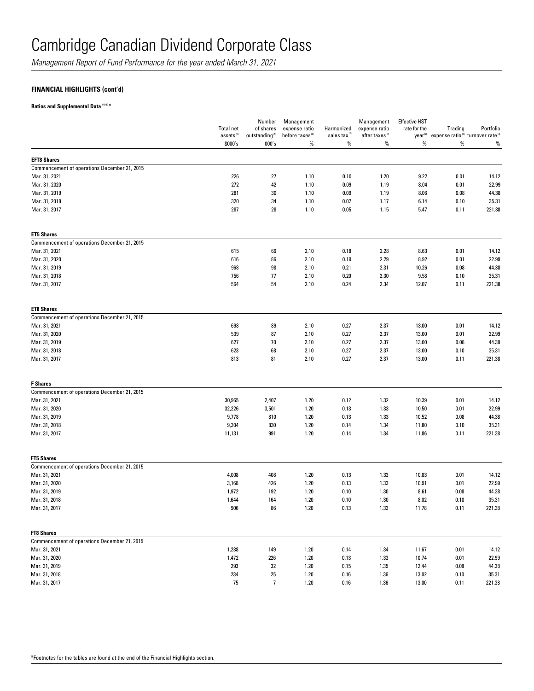*Management Report of Fund Performance for the year ended March 31, 2021*

### **FINANCIAL HIGHLIGHTS (cont'd)**

### **Ratios and Supplemental Data (1) (5) \***

|                                              | <b>Total net</b><br>assets <sup>(5)</sup> | Number<br>of shares<br>outstanding <sup>(5)</sup> | Management<br>expense ratio<br>before taxes <sup>(2)</sup> | Harmonized<br>sales tax <sup>12</sup> | Management<br>expense ratio<br>after taxes <sup>(2)</sup> | <b>Effective HST</b><br>rate for the<br>year <sup>(2)</sup> | Trading<br>expense ratio <sup>(3)</sup> turnover rate <sup>(4)</sup> | Portfolio |
|----------------------------------------------|-------------------------------------------|---------------------------------------------------|------------------------------------------------------------|---------------------------------------|-----------------------------------------------------------|-------------------------------------------------------------|----------------------------------------------------------------------|-----------|
|                                              | \$000's                                   | 000's                                             | $\%$                                                       | $\%$                                  | $\%$                                                      | $\%$                                                        | $\%$                                                                 | $\%$      |
| <b>EFT8 Shares</b>                           |                                           |                                                   |                                                            |                                       |                                                           |                                                             |                                                                      |           |
| Commencement of operations December 21, 2015 |                                           |                                                   |                                                            |                                       |                                                           |                                                             |                                                                      |           |
| Mar. 31, 2021                                | 226                                       | 27                                                | 1.10                                                       | 0.10                                  | 1.20                                                      | 9.22                                                        | 0.01                                                                 | 14.12     |
| Mar. 31, 2020                                | 272                                       | 42                                                | 1.10                                                       | 0.09                                  | 1.19                                                      | 8.04                                                        | 0.01                                                                 | 22.99     |
| Mar. 31, 2019                                | 281                                       | 30                                                | 1.10                                                       | 0.09                                  | 1.19                                                      | 8.06                                                        | 0.08                                                                 | 44.38     |
| Mar. 31, 2018                                | 320                                       | 34                                                | 1.10                                                       | 0.07                                  | 1.17                                                      | 6.14                                                        | 0.10                                                                 | 35.31     |
| Mar. 31, 2017                                | 287                                       | 28                                                | 1.10                                                       | 0.05                                  | 1.15                                                      | 5.47                                                        | 0.11                                                                 | 221.38    |
| <b>ET5 Shares</b>                            |                                           |                                                   |                                                            |                                       |                                                           |                                                             |                                                                      |           |
| Commencement of operations December 21, 2015 |                                           |                                                   |                                                            |                                       |                                                           |                                                             |                                                                      |           |
| Mar. 31, 2021                                | 615                                       | 66                                                | 2.10                                                       | 0.18                                  | 2.28                                                      | 8.63                                                        | 0.01                                                                 | 14.12     |
| Mar. 31, 2020                                | 616                                       | 86                                                | 2.10                                                       | 0.19                                  | 2.29                                                      | 8.92                                                        | 0.01                                                                 | 22.99     |
| Mar. 31, 2019                                | 968                                       | 98                                                | 2.10                                                       | 0.21                                  | 2.31                                                      | 10.26                                                       | 0.08                                                                 | 44.38     |
| Mar. 31, 2018                                | 756                                       | 77                                                | 2.10                                                       | 0.20                                  | 2.30                                                      | 9.58                                                        | 0.10                                                                 | 35.31     |
| Mar. 31, 2017                                | 564                                       | 54                                                | 2.10                                                       | 0.24                                  | 2.34                                                      | 12.07                                                       | 0.11                                                                 | 221.38    |
| <b>ET8 Shares</b>                            |                                           |                                                   |                                                            |                                       |                                                           |                                                             |                                                                      |           |
| Commencement of operations December 21, 2015 |                                           |                                                   |                                                            |                                       |                                                           |                                                             |                                                                      |           |
| Mar. 31, 2021                                | 698                                       | 89                                                | 2.10                                                       | 0.27                                  | 2.37                                                      | 13.00                                                       | 0.01                                                                 | 14.12     |
| Mar. 31, 2020                                | 539                                       | 87                                                | 2.10                                                       | 0.27                                  | 2.37                                                      | 13.00                                                       | 0.01                                                                 | 22.99     |
| Mar. 31, 2019                                | 627                                       | 70                                                | 2.10                                                       | 0.27                                  | 2.37                                                      | 13.00                                                       | 0.08                                                                 | 44.38     |
| Mar. 31, 2018                                | 623                                       | 68                                                | 2.10                                                       | 0.27                                  | 2.37                                                      | 13.00                                                       | 0.10                                                                 | 35.31     |
| Mar. 31, 2017                                | 813                                       | 81                                                | 2.10                                                       | 0.27                                  | 2.37                                                      | 13.00                                                       | 0.11                                                                 | 221.38    |
| <b>F</b> Shares                              |                                           |                                                   |                                                            |                                       |                                                           |                                                             |                                                                      |           |
| Commencement of operations December 21, 2015 |                                           |                                                   |                                                            |                                       |                                                           |                                                             |                                                                      |           |
| Mar. 31, 2021                                | 30,965                                    | 2,407                                             | 1.20                                                       | 0.12                                  | 1.32                                                      | 10.39                                                       | 0.01                                                                 | 14.12     |
| Mar. 31, 2020                                | 32,226                                    | 3,501                                             | 1.20                                                       | 0.13                                  | 1.33                                                      | 10.50                                                       | 0.01                                                                 | 22.99     |
| Mar. 31, 2019                                | 9,778                                     | 810                                               | 1.20                                                       | 0.13                                  | 1.33                                                      | 10.52                                                       | 0.08                                                                 | 44.38     |
| Mar. 31, 2018                                | 9,304                                     | 830                                               | 1.20                                                       | 0.14                                  | 1.34                                                      | 11.80                                                       | 0.10                                                                 | 35.31     |
| Mar. 31, 2017                                | 11,131                                    | 991                                               | 1.20                                                       | 0.14                                  | 1.34                                                      | 11.86                                                       | 0.11                                                                 | 221.38    |
| <b>FT5 Shares</b>                            |                                           |                                                   |                                                            |                                       |                                                           |                                                             |                                                                      |           |
| Commencement of operations December 21, 2015 |                                           |                                                   |                                                            |                                       |                                                           |                                                             |                                                                      |           |
| Mar. 31, 2021                                | 4,008                                     | 408                                               | 1.20                                                       | 0.13                                  | 1.33                                                      | 10.83                                                       | 0.01                                                                 | 14.12     |
| Mar. 31, 2020                                | 3,168                                     | 426                                               | 1.20                                                       | 0.13                                  | 1.33                                                      | 10.91                                                       | 0.01                                                                 | 22.99     |
| Mar. 31, 2019                                | 1,972                                     | 192                                               | 1.20                                                       | 0.10                                  | 1.30                                                      | 8.61                                                        | 0.08                                                                 | 44.38     |
| Mar. 31, 2018                                | 1,644                                     | 164                                               | 1.20                                                       | 0.10                                  | 1.30                                                      | 8.02                                                        | 0.10                                                                 | 35.31     |
| Mar. 31, 2017                                | 906                                       | 86                                                | 1.20                                                       | 0.13                                  | 1.33                                                      | 11.78                                                       | 0.11                                                                 | 221.38    |
| <b>FT8 Shares</b>                            |                                           |                                                   |                                                            |                                       |                                                           |                                                             |                                                                      |           |
| Commencement of operations December 21, 2015 |                                           |                                                   |                                                            |                                       |                                                           |                                                             |                                                                      |           |
| Mar. 31, 2021                                | 1,238                                     | 149                                               | 1.20                                                       | 0.14                                  | 1.34                                                      | 11.67                                                       | 0.01                                                                 | 14.12     |
| Mar. 31, 2020                                | 1,472                                     | 226                                               | 1.20                                                       | 0.13                                  | 1.33                                                      | 10.74                                                       | 0.01                                                                 | 22.99     |
| Mar. 31, 2019                                | 293                                       | 32                                                | 1.20                                                       | 0.15                                  | 1.35                                                      | 12.44                                                       | 0.08                                                                 | 44.38     |
| Mar. 31, 2018                                | 234                                       | 25                                                | 1.20                                                       | 0.16                                  | 1.36                                                      | 13.02                                                       | 0.10                                                                 | 35.31     |
| Mar. 31, 2017                                | 75                                        | $\overline{7}$                                    | 1.20                                                       | 0.16                                  | 1.36                                                      | 13.00                                                       | 0.11                                                                 | 221.38    |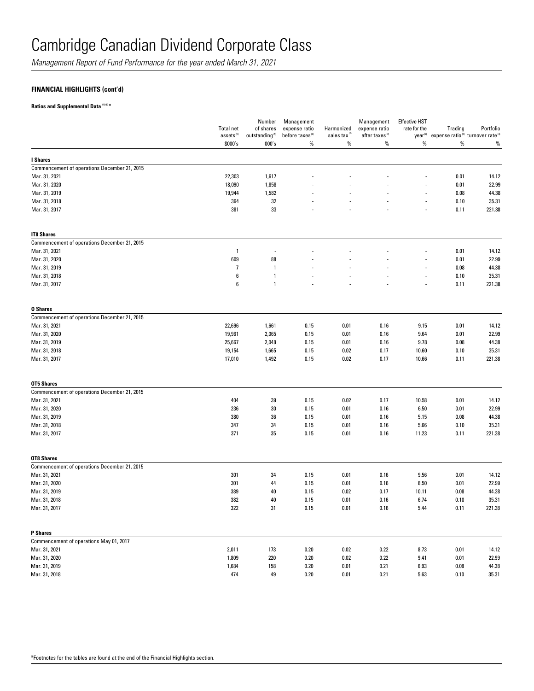*Management Report of Fund Performance for the year ended March 31, 2021*

### **FINANCIAL HIGHLIGHTS (cont'd)**

### **Ratios and Supplemental Data (1) (5) \***

|                                              | <b>Total net</b><br>assets <sup>(5)</sup> | Number<br>of shares<br>outstanding <sup>(5)</sup> | Management<br>expense ratio<br>before taxes <sup>(2)</sup> | Harmonized<br>sales tax <sup>(2)</sup> | Management<br>expense ratio<br>after taxes <sup>(2)</sup> | <b>Effective HST</b><br>rate for the<br>year <sup>(2)</sup> | Trading | Portfolio<br>expense ratio <sup>(3)</sup> turnover rate <sup>(4)</sup> |
|----------------------------------------------|-------------------------------------------|---------------------------------------------------|------------------------------------------------------------|----------------------------------------|-----------------------------------------------------------|-------------------------------------------------------------|---------|------------------------------------------------------------------------|
|                                              | \$000's                                   | 000's                                             | %                                                          | %                                      | %                                                         | $\%$                                                        | $\%$    | %                                                                      |
| I Shares                                     |                                           |                                                   |                                                            |                                        |                                                           |                                                             |         |                                                                        |
| Commencement of operations December 21, 2015 |                                           |                                                   |                                                            |                                        |                                                           |                                                             |         |                                                                        |
| Mar. 31, 2021                                | 22,303                                    | 1,617                                             |                                                            |                                        |                                                           |                                                             | 0.01    | 14.12                                                                  |
| Mar. 31, 2020                                | 18,090                                    | 1,858                                             |                                                            |                                        |                                                           |                                                             | 0.01    | 22.99                                                                  |
| Mar. 31, 2019                                | 19,944                                    | 1,582                                             |                                                            |                                        |                                                           |                                                             | 0.08    | 44.38                                                                  |
| Mar. 31, 2018                                | 364                                       | 32                                                |                                                            |                                        |                                                           | $\overline{a}$                                              | 0.10    | 35.31                                                                  |
| Mar. 31, 2017                                | 381                                       | 33                                                |                                                            |                                        |                                                           |                                                             | 0.11    | 221.38                                                                 |
| <b>IT8 Shares</b>                            |                                           |                                                   |                                                            |                                        |                                                           |                                                             |         |                                                                        |
| Commencement of operations December 21, 2015 |                                           |                                                   |                                                            |                                        |                                                           |                                                             |         |                                                                        |
| Mar. 31, 2021                                | $\overline{1}$                            |                                                   |                                                            |                                        |                                                           |                                                             | 0.01    | 14.12                                                                  |
| Mar. 31, 2020                                | 609                                       | 88                                                |                                                            |                                        |                                                           |                                                             | 0.01    | 22.99                                                                  |
| Mar. 31, 2019                                | $\overline{\phantom{a}}$                  | $\mathbf{1}$                                      |                                                            |                                        |                                                           |                                                             | 0.08    | 44.38                                                                  |
| Mar. 31, 2018                                | 6                                         | 1                                                 |                                                            |                                        |                                                           | $\overline{a}$                                              | 0.10    | 35.31                                                                  |
| Mar. 31, 2017                                | $\boldsymbol{6}$                          | $\mathbf{1}$                                      |                                                            |                                        |                                                           |                                                             | 0.11    | 221.38                                                                 |
| <b>0 Shares</b>                              |                                           |                                                   |                                                            |                                        |                                                           |                                                             |         |                                                                        |
| Commencement of operations December 21, 2015 |                                           |                                                   |                                                            |                                        |                                                           |                                                             |         |                                                                        |
| Mar. 31, 2021                                | 22,696                                    | 1,661                                             | 0.15                                                       | 0.01                                   | 0.16                                                      | 9.15                                                        | 0.01    | 14.12                                                                  |
| Mar. 31, 2020                                | 19,961                                    | 2,065                                             | 0.15                                                       | 0.01                                   | 0.16                                                      | 9.64                                                        | 0.01    | 22.99                                                                  |
| Mar. 31, 2019                                | 25,667                                    | 2,048                                             | 0.15                                                       | 0.01                                   | 0.16                                                      | 9.78                                                        | 0.08    | 44.38                                                                  |
| Mar. 31, 2018                                | 19,154                                    | 1,665                                             | 0.15                                                       | 0.02                                   | 0.17                                                      | 10.60                                                       | 0.10    | 35.31                                                                  |
| Mar. 31, 2017                                | 17,010                                    | 1,492                                             | 0.15                                                       | 0.02                                   | 0.17                                                      | 10.66                                                       | 0.11    | 221.38                                                                 |
| <b>OT5 Shares</b>                            |                                           |                                                   |                                                            |                                        |                                                           |                                                             |         |                                                                        |
| Commencement of operations December 21, 2015 |                                           |                                                   |                                                            |                                        |                                                           |                                                             |         |                                                                        |
| Mar. 31, 2021                                | 404                                       | 39                                                | 0.15                                                       | 0.02                                   | 0.17                                                      | 10.58                                                       | 0.01    | 14.12                                                                  |
| Mar. 31, 2020                                | 236                                       | 30                                                | 0.15                                                       | 0.01                                   | 0.16                                                      | 6.50                                                        | 0.01    | 22.99                                                                  |
| Mar. 31, 2019                                | 380                                       | 36                                                | 0.15                                                       | 0.01                                   | 0.16                                                      | 5.15                                                        | 0.08    | 44.38                                                                  |
| Mar. 31, 2018                                | 347                                       | 34                                                | 0.15                                                       | 0.01                                   | 0.16                                                      | 5.66                                                        | 0.10    | 35.31                                                                  |
| Mar. 31, 2017                                | 371                                       | 35                                                | 0.15                                                       | 0.01                                   | 0.16                                                      | 11.23                                                       | 0.11    | 221.38                                                                 |
| <b>OT8 Shares</b>                            |                                           |                                                   |                                                            |                                        |                                                           |                                                             |         |                                                                        |
| Commencement of operations December 21, 2015 |                                           |                                                   |                                                            |                                        |                                                           |                                                             |         |                                                                        |
| Mar. 31, 2021                                | 301                                       | 34                                                | 0.15                                                       | 0.01                                   | 0.16                                                      | 9.56                                                        | 0.01    | 14.12                                                                  |
| Mar. 31, 2020                                | 301                                       | 44                                                | 0.15                                                       | 0.01                                   | 0.16                                                      | 8.50                                                        | 0.01    | 22.99                                                                  |
| Mar. 31, 2019                                | 389                                       | 40                                                | 0.15                                                       | 0.02                                   | 0.17                                                      | 10.11                                                       | 0.08    | 44.38                                                                  |
| Mar. 31, 2018                                | 382                                       | 40                                                | 0.15                                                       | 0.01                                   | 0.16                                                      | 6.74                                                        | 0.10    | 35.31                                                                  |
| Mar. 31, 2017                                | 322                                       | 31                                                | 0.15                                                       | 0.01                                   | 0.16                                                      | 5.44                                                        | 0.11    | 221.38                                                                 |
| P Shares                                     |                                           |                                                   |                                                            |                                        |                                                           |                                                             |         |                                                                        |
| Commencement of operations May 01, 2017      |                                           |                                                   |                                                            |                                        |                                                           |                                                             |         |                                                                        |
| Mar. 31, 2021                                | 2,011                                     | 173                                               | 0.20                                                       | 0.02                                   | 0.22                                                      | 8.73                                                        | 0.01    | 14.12                                                                  |
| Mar. 31, 2020                                | 1,809                                     | 220                                               | 0.20                                                       | 0.02                                   | 0.22                                                      | 9.41                                                        | 0.01    | 22.99                                                                  |
| Mar. 31, 2019                                | 1,684                                     | 158                                               | 0.20                                                       | 0.01                                   | 0.21                                                      | 6.93                                                        | 0.08    | 44.38                                                                  |
| Mar. 31, 2018                                | 474                                       | 49                                                | 0.20                                                       | 0.01                                   | 0.21                                                      | 5.63                                                        | 0.10    | 35.31                                                                  |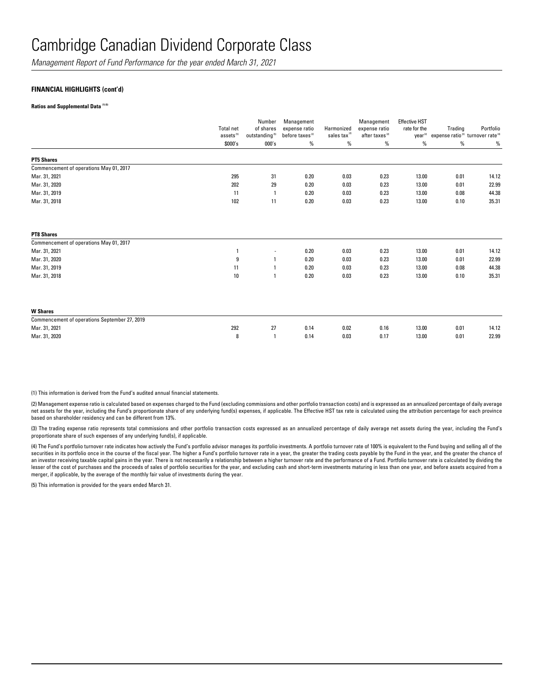*Management Report of Fund Performance for the year ended March 31, 2021*

### **FINANCIAL HIGHLIGHTS (cont'd)**

**Ratios and Supplemental Data (1) (5)** 

|                                               | <b>Total net</b><br>assets <sup>(5)</sup> | Number<br>of shares<br>outstanding <sup>(5)</sup> | Management<br>expense ratio<br>before taxes <sup>(2)</sup> | Harmonized<br>sales tax <sup>(2)</sup> | Management<br>expense ratio<br>after taxes <sup>(2)</sup> | <b>Effective HST</b><br>rate for the | Trading<br>year <sup>(2)</sup> expense ratio <sup>(3)</sup> turnover rate <sup>(4)</sup> | Portfolio |
|-----------------------------------------------|-------------------------------------------|---------------------------------------------------|------------------------------------------------------------|----------------------------------------|-----------------------------------------------------------|--------------------------------------|------------------------------------------------------------------------------------------|-----------|
|                                               | \$000's                                   | 000's                                             | %                                                          | %                                      | %                                                         | %                                    | %                                                                                        | %         |
| <b>PT5 Shares</b>                             |                                           |                                                   |                                                            |                                        |                                                           |                                      |                                                                                          |           |
| Commencement of operations May 01, 2017       |                                           |                                                   |                                                            |                                        |                                                           |                                      |                                                                                          |           |
| Mar. 31, 2021                                 | 295                                       | 31                                                | 0.20                                                       | 0.03                                   | 0.23                                                      | 13.00                                | 0.01                                                                                     | 14.12     |
| Mar. 31, 2020                                 | 202                                       | 29                                                | 0.20                                                       | 0.03                                   | 0.23                                                      | 13.00                                | 0.01                                                                                     | 22.99     |
| Mar. 31, 2019                                 | 11                                        | $\mathbf{1}$                                      | 0.20                                                       | 0.03                                   | 0.23                                                      | 13.00                                | 0.08                                                                                     | 44.38     |
| Mar. 31, 2018                                 | 102                                       | 11                                                | 0.20                                                       | 0.03                                   | 0.23                                                      | 13.00                                | 0.10                                                                                     | 35.31     |
| <b>PT8 Shares</b>                             |                                           |                                                   |                                                            |                                        |                                                           |                                      |                                                                                          |           |
| Commencement of operations May 01, 2017       |                                           |                                                   |                                                            |                                        |                                                           |                                      |                                                                                          |           |
| Mar. 31, 2021                                 | $\overline{1}$                            | $\overline{\phantom{a}}$                          | 0.20                                                       | 0.03                                   | 0.23                                                      | 13.00                                | 0.01                                                                                     | 14.12     |
| Mar. 31, 2020                                 | 9                                         |                                                   | 0.20                                                       | 0.03                                   | 0.23                                                      | 13.00                                | 0.01                                                                                     | 22.99     |
| Mar. 31, 2019                                 | 11                                        | $\overline{1}$                                    | 0.20                                                       | 0.03                                   | 0.23                                                      | 13.00                                | 0.08                                                                                     | 44.38     |
| Mar. 31, 2018                                 | 10                                        | $\overline{1}$                                    | 0.20                                                       | 0.03                                   | 0.23                                                      | 13.00                                | 0.10                                                                                     | 35.31     |
| <b>W</b> Shares                               |                                           |                                                   |                                                            |                                        |                                                           |                                      |                                                                                          |           |
| Commencement of operations September 27, 2019 |                                           |                                                   |                                                            |                                        |                                                           |                                      |                                                                                          |           |
| Mar. 31, 2021                                 | 292                                       | 27                                                | 0.14                                                       | 0.02                                   | 0.16                                                      | 13.00                                | 0.01                                                                                     | 14.12     |
| Mar. 31, 2020                                 | 8                                         | $\mathbf{1}$                                      | 0.14                                                       | 0.03                                   | 0.17                                                      | 13.00                                | 0.01                                                                                     | 22.99     |

(1) This information is derived from the Fund's audited annual financial statements.

(2) Management expense ratio is calculated based on expenses charged to the Fund (excluding commissions and other portfolio transaction costs) and is expressed as an annualized percentage of daily average net assets for the year, including the Fund's proportionate share of any underlying fund(s) expenses, if applicable. The Effective HST tax rate is calculated using the attribution percentage for each province based on shareholder residency and can be different from 13%.

(3) The trading expense ratio represents total commissions and other portfolio transaction costs expressed as an annualized percentage of daily average net assets during the year, including the Fund's proportionate share of such expenses of any underlying fund(s), if applicable.

(4) The Fund's portfolio turnover rate indicates how actively the Fund's portfolio advisor manages its portfolio investments. A portfolio turnover rate of 100% is equivalent to the Fund buying and selling all of the securities in its portfolio once in the course of the fiscal year. The higher a Fund's portfolio turnover rate in a year, the greater the trading costs payable by the Fund in the year, and the greater the chance of an investor receiving taxable capital gains in the year. There is not necessarily a relationship between a higher turnover rate and the performance of a Fund. Portfolio turnover rate is calculated by dividing the lesser of the cost of purchases and the proceeds of sales of portfolio securities for the year, and excluding cash and short-term investments maturing in less than one year, and before assets acquired from a merger, if applicable, by the average of the monthly fair value of investments during the year.

(5) This information is provided for the years ended March 31.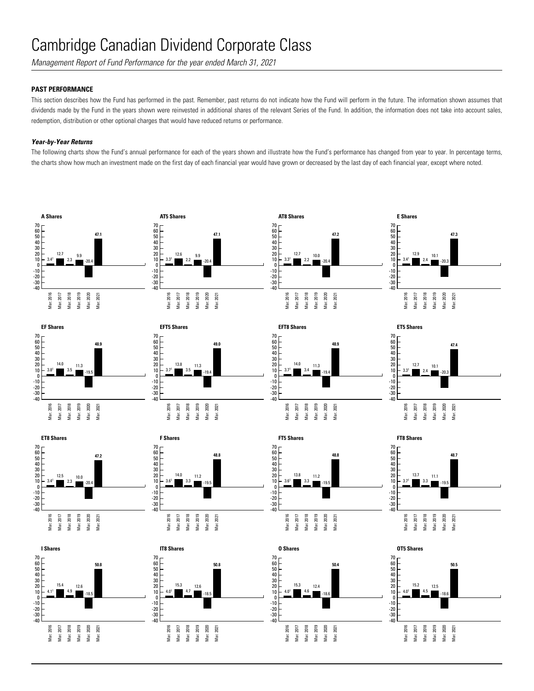*Management Report of Fund Performance for the year ended March 31, 2021*

## **PAST PERFORMANCE**

This section describes how the Fund has performed in the past. Remember, past returns do not indicate how the Fund will perform in the future. The information shown assumes that dividends made by the Fund in the years shown were reinvested in additional shares of the relevant Series of the Fund. In addition, the information does not take into account sales, redemption, distribution or other optional charges that would have reduced returns or performance.

### *Year-by-Year Returns*

The following charts show the Fund's annual performance for each of the years shown and illustrate how the Fund's performance has changed from year to year. In percentage terms, the charts show how much an investment made on the first day of each financial year would have grown or decreased by the last day of each financial year, except where noted.



















50.8

**I Shares**

4.11 15.4 4.9 12.6  $-18.5$ 

Mar. 2016 Mar. 2017 Mar. 2018 Mar. 2019 Mar. 2020 Mar. 2021

-10<br>-20<br>-30<br>-40

0<br>10<br>30<br>20<br>10<br>0

70











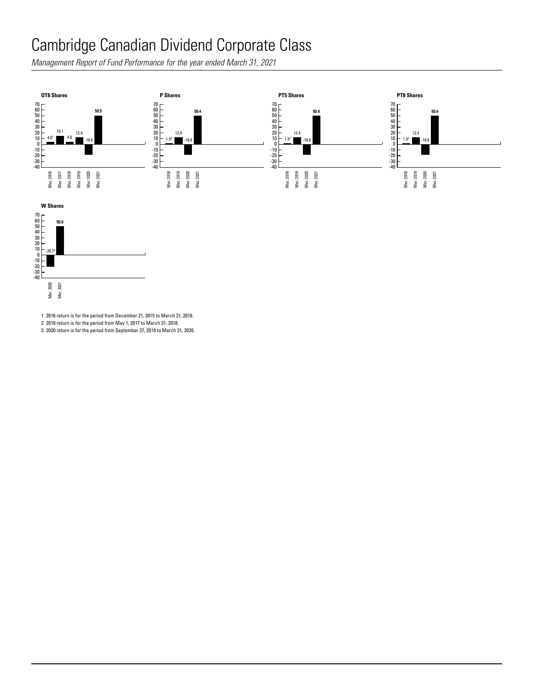Management Report of Fund Performance for the year ended March 31, 2021<br> for the year ende -40 August 2014 - 40 August 2014 - 40 August 2014



Mar. 2016 Mar. 2017 Mar. 2018 Mar. 2019 Mar. 2020 Mar. 2021 Mar. 2016 Mar. 2017 Mar. 2018 Mar. 2019 Mar. 2020 Mar. 2021



1 2016 return is for the period from December 21, 2015 to March 31, 2016.

2 2018 return is for the period from May 1, 2017 to March 31, 2018.

3 2020 return is for the period from September 27, 2019 to March 31, 2020.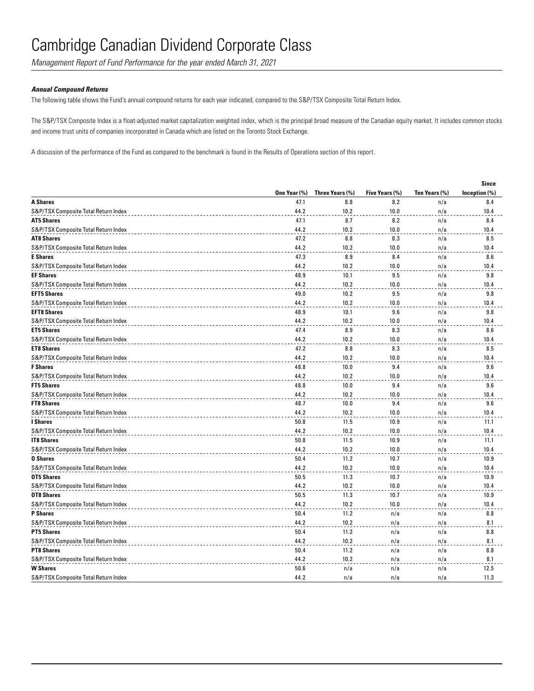*Management Report of Fund Performance for the year ended March 31, 2021*

#### *Annual Compound Returns*

The following table shows the Fund's annual compound returns for each year indicated, compared to the S&P/TSX Composite Total Return Index.

The S&P/TSX Composite Index is a float-adjusted market capitalization weighted index, which is the principal broad measure of the Canadian equity market. It includes common stocks and income trust units of companies incorporated in Canada which are listed on the Toronto Stock Exchange.

A discussion of the performance of the Fund as compared to the benchmark is found in the Results of Operations section of this report.

|                                      |              |                 |                |               | <b>Since</b>  |
|--------------------------------------|--------------|-----------------|----------------|---------------|---------------|
|                                      | One Year (%) | Three Years (%) | Five Years (%) | Ten Years (%) | Inception (%) |
| <b>A Shares</b>                      | 47.1         | 8.8             | 8.2            | n/a           | 8.4           |
| S&P/TSX Composite Total Return Index | 44.2         | 10.2            | 10.0           | n/a           | 10.4          |
| <b>AT5 Shares</b>                    | 47.1         | 8.7             | 8.2            | n/a           | 8.4           |
| S&P/TSX Composite Total Return Index | 44.2         | 10.2            | 10.0           | n/a           | 10.4          |
| <b>AT8 Shares</b>                    | 47.2         | 8.8             | 8.3            | n/a           | 8.5           |
| S&P/TSX Composite Total Return Index | 44.2         | 10.2            | 10.0           | n/a           | 10.4          |
| <b>E</b> Shares                      | 47.3         | 8.9             | 8.4            | n/a           | 8.6           |
| S&P/TSX Composite Total Return Index | 44.2         | 10.2            | 10.0           | n/a           | 10.4          |
| <b>EF Shares</b>                     | 48.9         | 10.1            | 9.5            | n/a           | 9.8           |
| S&P/TSX Composite Total Return Index | 44.2         | 10.2            | 10.0           | n/a           | 10.4          |
| <b>EFT5 Shares</b>                   | 49.0         | 10.2            | 9.5            | n/a           | 9.8           |
| S&P/TSX Composite Total Return Index | 44.2         | 10.2            | 10.0           | n/a           | 10.4          |
| <b>EFT8 Shares</b>                   | 48.9         | 10.1            | 9.6            | n/a           | 9.8           |
| S&P/TSX Composite Total Return Index | 44.2         | 10.2            | 10.0           | n/a           | 10.4          |
| <b>ET5 Shares</b>                    | 47.4         | 8.9             | 8.3            | n/a           | 8.6           |
| S&P/TSX Composite Total Return Index | 44.2         | 10.2            | 10.0           | n/a           | 10.4          |
| <b>ET8 Shares</b>                    | 47.2         | 8.8             | 8.3            | n/a           | 8.5           |
| S&P/TSX Composite Total Return Index | 44.2         | 10.2            | 10.0           | n/a           | 10.4          |
| <b>F</b> Shares                      | 48.8         | 10.0            | 9.4            | n/a           | 9.6           |
| S&P/TSX Composite Total Return Index | 44.2         | 10.2            | 10.0           | n/a           | 10.4          |
| <b>FT5 Shares</b>                    | 48.8         | 10.0            | 9.4            | n/a           | 9.6           |
| S&P/TSX Composite Total Return Index | 44.2         | 10.2            | 10.0           | n/a           | 10.4          |
| <b>FT8 Shares</b>                    | 48.7         | 10.0            | 9.4            | n/a           | 9.6           |
| S&P/TSX Composite Total Return Index | 44.2         | 10.2            | 10.0           | n/a           | 10.4          |
| <b>I</b> Shares                      | 50.8         | 11.5            | 10.9           | n/a           | 11.1          |
| S&P/TSX Composite Total Return Index | 44.2         | 10.2            | 10.0           | n/a           | 10.4          |
| <b>IT8 Shares</b>                    | 50.8         | 11.5            | 10.9           | n/a           | 11.1          |
| S&P/TSX Composite Total Return Index | 44.2         | 10.2            | 10.0           | n/a           | 10.4          |
| <b>0 Shares</b>                      | 50.4         | 11.2            | 10.7           | n/a           | 10.9          |
| S&P/TSX Composite Total Return Index | 44.2         | 10.2            | 10.0           | n/a           | 10.4          |
| <b>OT5 Shares</b>                    | 50.5         | 11.3            | 10.7           | n/a           | 10.9          |
| S&P/TSX Composite Total Return Index | 44.2         | 10.2            | 10.0           | n/a           | 10.4          |
| <b>OT8 Shares</b>                    | 50.5         | 11.3            | 10.7           | n/a           | 10.9          |
| S&P/TSX Composite Total Return Index | 44.2         | 10.2            | 10.0           | n/a           | 10.4          |
| <b>P</b> Shares                      | 50.4         | 11.2            | n/a            | n/a           | 8.8           |
| S&P/TSX Composite Total Return Index | 44.2         | 10.2            | n/a            | n/a           | 8.1           |
| <b>PT5 Shares</b>                    | 50.4         | 11.2            | n/a            | n/a           | 8.8           |
| S&P/TSX Composite Total Return Index | 44.2         | 10.2            | n/a            | n/a           | 8.1           |
| <b>PT8 Shares</b>                    | 50.4         | 11.2            | n/a            | n/a           | 8.8           |
| S&P/TSX Composite Total Return Index | 44.2         | 10.2            | n/a            | n/a           | 8.1           |
| <b>W</b> Shares                      | 50.6         | n/a             | n/a            | n/a           | 12.5          |
| S&P/TSX Composite Total Return Index | 44.2         | n/a             | n/a            | n/a           | 11.3          |